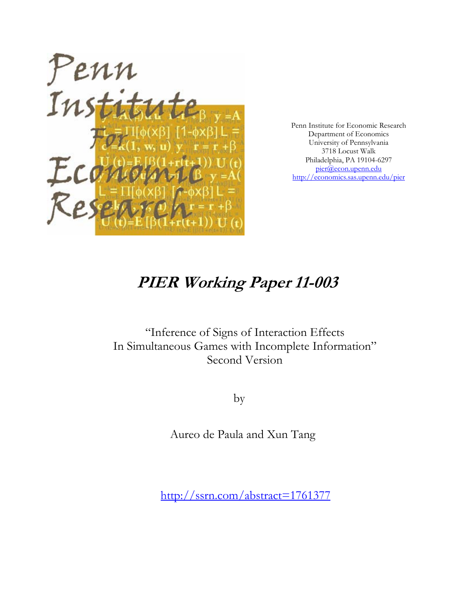

Penn Institute for Economic Research Department of Economics University of Pennsylvania 3718 Locust Walk Philadelphia, PA 19104-6297 pier@econ.upenn.edu http://economics.sas.upenn.edu/pier

## **PIER Working Paper 11-003**

"Inference of Signs of Interaction Effects In Simultaneous Games with Incomplete Information" Second Version

by

Aureo de Paula and Xun Tang

http://ssrn.com/abstract=1761377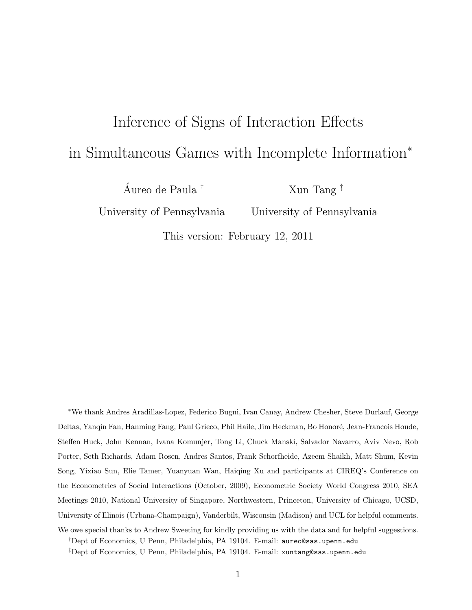# <span id="page-1-0"></span>Inference of Signs of Interaction Effects in Simultaneous Games with Incomplete Information<sup>∗</sup>

Áureo de Paula<sup>†</sup>

Xun Tang ‡

University of Pennsylvania

University of Pennsylvania

This version: February 12, 2011

<sup>∗</sup>We thank Andres Aradillas-Lopez, Federico Bugni, Ivan Canay, Andrew Chesher, Steve Durlauf, George Deltas, Yanqin Fan, Hanming Fang, Paul Grieco, Phil Haile, Jim Heckman, Bo Honoré, Jean-Francois Houde, Steffen Huck, John Kennan, Ivana Komunjer, Tong Li, Chuck Manski, Salvador Navarro, Aviv Nevo, Rob Porter, Seth Richards, Adam Rosen, Andres Santos, Frank Schorfheide, Azeem Shaikh, Matt Shum, Kevin Song, Yixiao Sun, Elie Tamer, Yuanyuan Wan, Haiqing Xu and participants at CIREQ's Conference on the Econometrics of Social Interactions (October, 2009), Econometric Society World Congress 2010, SEA Meetings 2010, National University of Singapore, Northwestern, Princeton, University of Chicago, UCSD, University of Illinois (Urbana-Champaign), Vanderbilt, Wisconsin (Madison) and UCL for helpful comments. We owe special thanks to Andrew Sweeting for kindly providing us with the data and for helpful suggestions. †Dept of Economics, U Penn, Philadelphia, PA 19104. E-mail: aureo@sas.upenn.edu

<sup>‡</sup>Dept of Economics, U Penn, Philadelphia, PA 19104. E-mail: xuntang@sas.upenn.edu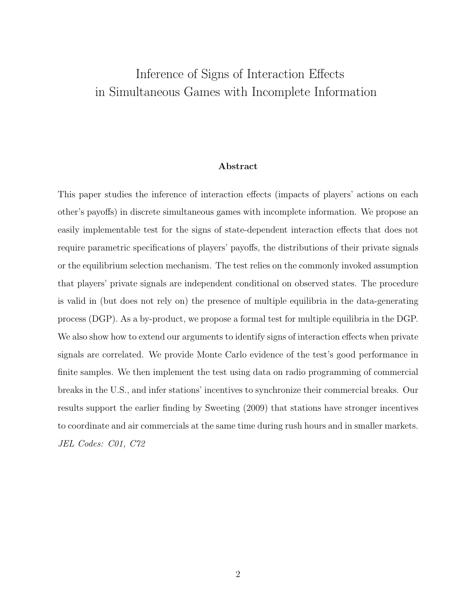## Inference of Signs of Interaction Effects in Simultaneous Games with Incomplete Information

#### Abstract

This paper studies the inference of interaction effects (impacts of players' actions on each other's payoffs) in discrete simultaneous games with incomplete information. We propose an easily implementable test for the signs of state-dependent interaction effects that does not require parametric specifications of players' payoffs, the distributions of their private signals or the equilibrium selection mechanism. The test relies on the commonly invoked assumption that players' private signals are independent conditional on observed states. The procedure is valid in (but does not rely on) the presence of multiple equilibria in the data-generating process (DGP). As a by-product, we propose a formal test for multiple equilibria in the DGP. We also show how to extend our arguments to identify signs of interaction effects when private signals are correlated. We provide Monte Carlo evidence of the test's good performance in finite samples. We then implement the test using data on radio programming of commercial breaks in the U.S., and infer stations' incentives to synchronize their commercial breaks. Our results support the earlier finding by Sweeting (2009) that stations have stronger incentives to coordinate and air commercials at the same time during rush hours and in smaller markets. JEL Codes: C01, C72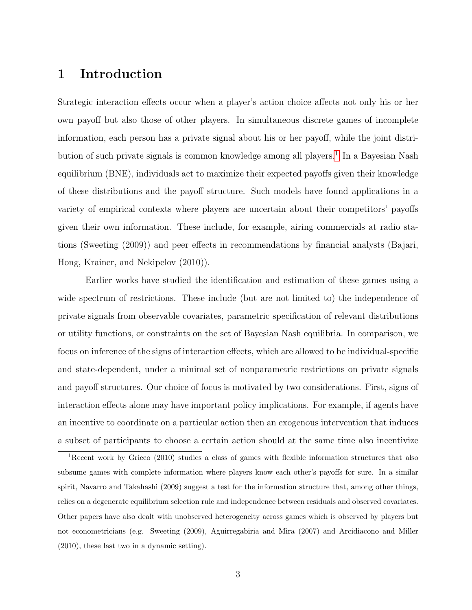## 1 Introduction

Strategic interaction effects occur when a player's action choice affects not only his or her own payoff but also those of other players. In simultaneous discrete games of incomplete information, each person has a private signal about his or her payoff, while the joint distri-bution of such private signals is common knowledge among all players.<sup>[1](#page-3-0)</sup> In a Bayesian Nash equilibrium (BNE), individuals act to maximize their expected payoffs given their knowledge of these distributions and the payoff structure. Such models have found applications in a variety of empirical contexts where players are uncertain about their competitors' payoffs given their own information. These include, for example, airing commercials at radio stations (Sweeting (2009)) and peer effects in recommendations by financial analysts (Bajari, Hong, Krainer, and Nekipelov (2010)).

Earlier works have studied the identification and estimation of these games using a wide spectrum of restrictions. These include (but are not limited to) the independence of private signals from observable covariates, parametric specification of relevant distributions or utility functions, or constraints on the set of Bayesian Nash equilibria. In comparison, we focus on inference of the signs of interaction effects, which are allowed to be individual-specific and state-dependent, under a minimal set of nonparametric restrictions on private signals and payoff structures. Our choice of focus is motivated by two considerations. First, signs of interaction effects alone may have important policy implications. For example, if agents have an incentive to coordinate on a particular action then an exogenous intervention that induces a subset of participants to choose a certain action should at the same time also incentivize

<span id="page-3-0"></span><sup>1</sup>Recent work by Grieco (2010) studies a class of games with flexible information structures that also subsume games with complete information where players know each other's payoffs for sure. In a similar spirit, Navarro and Takahashi (2009) suggest a test for the information structure that, among other things, relies on a degenerate equilibrium selection rule and independence between residuals and observed covariates. Other papers have also dealt with unobserved heterogeneity across games which is observed by players but not econometricians (e.g. Sweeting (2009), Aguirregabiria and Mira (2007) and Arcidiacono and Miller (2010), these last two in a dynamic setting).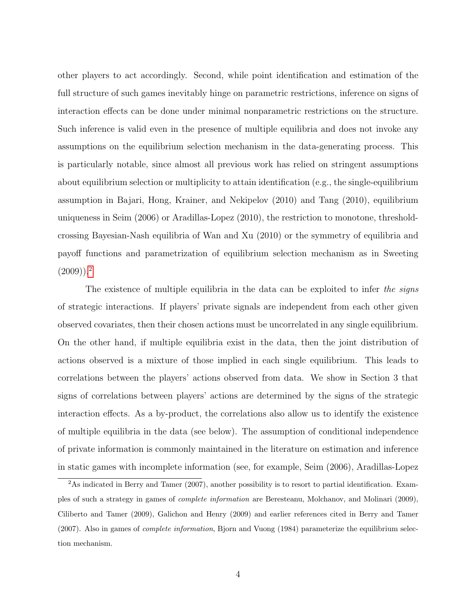other players to act accordingly. Second, while point identification and estimation of the full structure of such games inevitably hinge on parametric restrictions, inference on signs of interaction effects can be done under minimal nonparametric restrictions on the structure. Such inference is valid even in the presence of multiple equilibria and does not invoke any assumptions on the equilibrium selection mechanism in the data-generating process. This is particularly notable, since almost all previous work has relied on stringent assumptions about equilibrium selection or multiplicity to attain identification (e.g., the single-equilibrium assumption in Bajari, Hong, Krainer, and Nekipelov (2010) and Tang (2010), equilibrium uniqueness in Seim (2006) or Aradillas-Lopez (2010), the restriction to monotone, thresholdcrossing Bayesian-Nash equilibria of Wan and Xu (2010) or the symmetry of equilibria and payoff functions and parametrization of equilibrium selection mechanism as in Sweeting  $(2009)$  $(2009)$  $(2009)$ ).<sup>2</sup>

The existence of multiple equilibria in the data can be exploited to infer the signs of strategic interactions. If players' private signals are independent from each other given observed covariates, then their chosen actions must be uncorrelated in any single equilibrium. On the other hand, if multiple equilibria exist in the data, then the joint distribution of actions observed is a mixture of those implied in each single equilibrium. This leads to correlations between the players' actions observed from data. We show in Section 3 that signs of correlations between players' actions are determined by the signs of the strategic interaction effects. As a by-product, the correlations also allow us to identify the existence of multiple equilibria in the data (see below). The assumption of conditional independence of private information is commonly maintained in the literature on estimation and inference in static games with incomplete information (see, for example, Seim (2006), Aradillas-Lopez

<span id="page-4-0"></span><sup>&</sup>lt;sup>2</sup>As indicated in Berry and Tamer (2007), another possibility is to resort to partial identification. Examples of such a strategy in games of complete information are Beresteanu, Molchanov, and Molinari (2009), Ciliberto and Tamer (2009), Galichon and Henry (2009) and earlier references cited in Berry and Tamer (2007). Also in games of *complete information*, Bjorn and Vuong (1984) parameterize the equilibrium selection mechanism.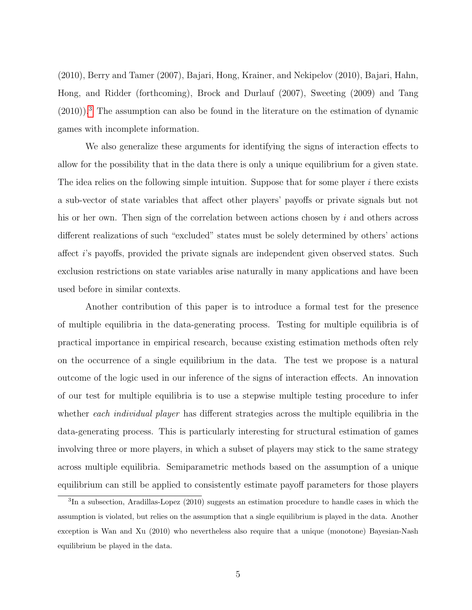(2010), Berry and Tamer (2007), Bajari, Hong, Krainer, and Nekipelov (2010), Bajari, Hahn, Hong, and Ridder (forthcoming), Brock and Durlauf (2007), Sweeting (2009) and Tang  $(2010)$ .<sup>[3](#page-5-0)</sup> The assumption can also be found in the literature on the estimation of dynamic games with incomplete information.

We also generalize these arguments for identifying the signs of interaction effects to allow for the possibility that in the data there is only a unique equilibrium for a given state. The idea relies on the following simple intuition. Suppose that for some player  $i$  there exists a sub-vector of state variables that affect other players' payoffs or private signals but not his or her own. Then sign of the correlation between actions chosen by i and others across different realizations of such "excluded" states must be solely determined by others' actions affect i's payoffs, provided the private signals are independent given observed states. Such exclusion restrictions on state variables arise naturally in many applications and have been used before in similar contexts.

Another contribution of this paper is to introduce a formal test for the presence of multiple equilibria in the data-generating process. Testing for multiple equilibria is of practical importance in empirical research, because existing estimation methods often rely on the occurrence of a single equilibrium in the data. The test we propose is a natural outcome of the logic used in our inference of the signs of interaction effects. An innovation of our test for multiple equilibria is to use a stepwise multiple testing procedure to infer whether each *individual player* has different strategies across the multiple equilibria in the data-generating process. This is particularly interesting for structural estimation of games involving three or more players, in which a subset of players may stick to the same strategy across multiple equilibria. Semiparametric methods based on the assumption of a unique equilibrium can still be applied to consistently estimate payoff parameters for those players

<span id="page-5-0"></span><sup>3</sup> In a subsection, Aradillas-Lopez (2010) suggests an estimation procedure to handle cases in which the assumption is violated, but relies on the assumption that a single equilibrium is played in the data. Another exception is Wan and Xu (2010) who nevertheless also require that a unique (monotone) Bayesian-Nash equilibrium be played in the data.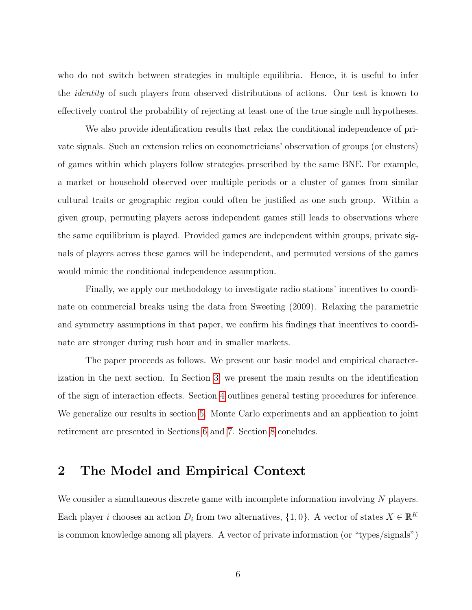who do not switch between strategies in multiple equilibria. Hence, it is useful to infer the *identity* of such players from observed distributions of actions. Our test is known to effectively control the probability of rejecting at least one of the true single null hypotheses.

We also provide identification results that relax the conditional independence of private signals. Such an extension relies on econometricians' observation of groups (or clusters) of games within which players follow strategies prescribed by the same BNE. For example, a market or household observed over multiple periods or a cluster of games from similar cultural traits or geographic region could often be justified as one such group. Within a given group, permuting players across independent games still leads to observations where the same equilibrium is played. Provided games are independent within groups, private signals of players across these games will be independent, and permuted versions of the games would mimic the conditional independence assumption.

Finally, we apply our methodology to investigate radio stations' incentives to coordinate on commercial breaks using the data from Sweeting (2009). Relaxing the parametric and symmetry assumptions in that paper, we confirm his findings that incentives to coordinate are stronger during rush hour and in smaller markets.

The paper proceeds as follows. We present our basic model and empirical characterization in the next section. In Section [3,](#page-10-0) we present the main results on the identification of the sign of interaction effects. Section [4](#page-20-0) outlines general testing procedures for inference. We generalize our results in section [5.](#page-29-0) Monte Carlo experiments and an application to joint retirement are presented in Sections [6](#page-32-0) and [7.](#page-35-0) Section [8](#page-39-0) concludes.

## <span id="page-6-0"></span>2 The Model and Empirical Context

We consider a simultaneous discrete game with incomplete information involving  $N$  players. Each player *i* chooses an action  $D_i$  from two alternatives,  $\{1, 0\}$ . A vector of states  $X \in \mathbb{R}^K$ is common knowledge among all players. A vector of private information (or "types/signals")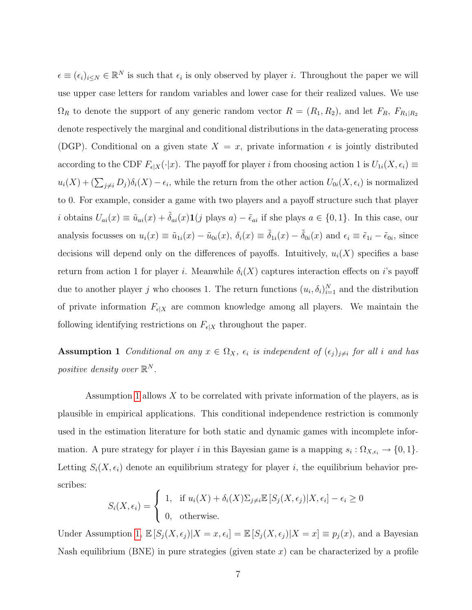$\epsilon \equiv (\epsilon_i)_{i\leq N} \in \mathbb{R}^N$  is such that  $\epsilon_i$  is only observed by player *i*. Throughout the paper we will use upper case letters for random variables and lower case for their realized values. We use  $\Omega_R$  to denote the support of any generic random vector  $R = (R_1, R_2)$ , and let  $F_R$ ,  $F_{R_1|R_2}$ denote respectively the marginal and conditional distributions in the data-generating process (DGP). Conditional on a given state  $X = x$ , private information  $\epsilon$  is jointly distributed according to the CDF  $F_{\epsilon|X}(\cdot|x)$ . The payoff for player i from choosing action 1 is  $U_{1i}(X, \epsilon_i) \equiv$  $u_i(X) + (\sum_{j \neq i} D_j)\delta_i(X) - \epsilon_i$ , while the return from the other action  $U_{0i}(X, \epsilon_i)$  is normalized to 0. For example, consider a game with two players and a payoff structure such that player i obtains  $U_{ai}(x) \equiv \tilde{u}_{ai}(x) + \tilde{\delta}_{ai}(x) \mathbf{1}(j \text{ plays } a) - \tilde{\epsilon}_{ai}$  if she plays  $a \in \{0, 1\}$ . In this case, our analysis focusses on  $u_i(x) \equiv \tilde{u}_{1i}(x) - \tilde{u}_{0i}(x), \ \delta_i(x) \equiv \tilde{\delta}_{1i}(x) - \tilde{\delta}_{0i}(x)$  and  $\epsilon_i \equiv \tilde{\epsilon}_{1i} - \tilde{\epsilon}_{0i}$ , since decisions will depend only on the differences of payoffs. Intuitively,  $u_i(X)$  specifies a base return from action 1 for player i. Meanwhile  $\delta_i(X)$  captures interaction effects on i's payoff due to another player j who chooses 1. The return functions  $(u_i, \delta_i)_{i=1}^N$  and the distribution of private information  $F_{\epsilon|X}$  are common knowledge among all players. We maintain the following identifying restrictions on  $F_{\epsilon|X}$  throughout the paper.

<span id="page-7-0"></span>**Assumption 1** Conditional on any  $x \in \Omega_X$ ,  $\epsilon_i$  is independent of  $(\epsilon_j)_{j\neq i}$  for all i and has positive density over  $\mathbb{R}^N$ .

Assumption [1](#page-7-0) allows X to be correlated with private information of the players, as is plausible in empirical applications. This conditional independence restriction is commonly used in the estimation literature for both static and dynamic games with incomplete information. A pure strategy for player i in this Bayesian game is a mapping  $s_i : \Omega_{X,\epsilon_i} \to \{0,1\}.$ Letting  $S_i(X, \epsilon_i)$  denote an equilibrium strategy for player i, the equilibrium behavior prescribes:

$$
S_i(X, \epsilon_i) = \begin{cases} 1, & \text{if } u_i(X) + \delta_i(X)\Sigma_{j\neq i} \mathbb{E}\left[S_j(X, \epsilon_j)|X, \epsilon_i\right] - \epsilon_i \ge 0\\ 0, & \text{otherwise.} \end{cases}
$$

Under Assumption [1,](#page-7-0)  $\mathbb{E}[S_j(X, \epsilon_j)|X=x, \epsilon_i] = \mathbb{E}[S_j(X, \epsilon_j)|X=x] \equiv p_j(x)$ , and a Bayesian Nash equilibrium (BNE) in pure strategies (given state  $x$ ) can be characterized by a profile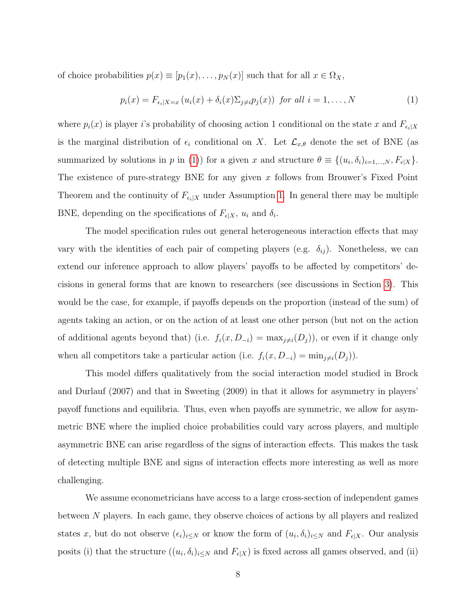of choice probabilities  $p(x) \equiv [p_1(x), \ldots, p_N(x)]$  such that for all  $x \in \Omega_X$ ,

<span id="page-8-0"></span>
$$
p_i(x) = F_{\epsilon_i|X=x} \left( u_i(x) + \delta_i(x) \Sigma_{j \neq i} p_j(x) \right) \text{ for all } i = 1, \dots, N \tag{1}
$$

where  $p_i(x)$  is player i's probability of choosing action 1 conditional on the state x and  $F_{\epsilon_i|X}$ is the marginal distribution of  $\epsilon_i$  conditional on X. Let  $\mathcal{L}_{x,\theta}$  denote the set of BNE (as summarized by solutions in p in [\(1\)](#page-8-0)) for a given x and structure  $\theta \equiv \{(u_i, \delta_i)_{i=1,\dots,N}, F_{\epsilon|X}\}.$ The existence of pure-strategy BNE for any given  $x$  follows from Brouwer's Fixed Point Theorem and the continuity of  $F_{\epsilon_i|X}$  under Assumption [1.](#page-7-0) In general there may be multiple BNE, depending on the specifications of  $F_{\epsilon|X}$ ,  $u_i$  and  $\delta_i$ .

The model specification rules out general heterogeneous interaction effects that may vary with the identities of each pair of competing players (e.g.  $\delta_{ij}$ ). Nonetheless, we can extend our inference approach to allow players' payoffs to be affected by competitors' decisions in general forms that are known to researchers (see discussions in Section [3\)](#page-10-0). This would be the case, for example, if payoffs depends on the proportion (instead of the sum) of agents taking an action, or on the action of at least one other person (but not on the action of additional agents beyond that) (i.e.  $f_i(x, D_{-i}) = \max_{j \neq i}(D_j)$ ), or even if it change only when all competitors take a particular action (i.e.  $f_i(x, D_{-i}) = \min_{j \neq i}(D_j)$ ).

This model differs qualitatively from the social interaction model studied in Brock and Durlauf (2007) and that in Sweeting (2009) in that it allows for asymmetry in players' payoff functions and equilibria. Thus, even when payoffs are symmetric, we allow for asymmetric BNE where the implied choice probabilities could vary across players, and multiple asymmetric BNE can arise regardless of the signs of interaction effects. This makes the task of detecting multiple BNE and signs of interaction effects more interesting as well as more challenging.

We assume econometricians have access to a large cross-section of independent games between N players. In each game, they observe choices of actions by all players and realized states x, but do not observe  $(\epsilon_i)_{i\leq N}$  or know the form of  $(u_i, \delta_i)_{i\leq N}$  and  $F_{\epsilon|X}$ . Our analysis posits (i) that the structure  $((u_i, \delta_i)_{i \leq N}$  and  $F_{\epsilon|X})$  is fixed across all games observed, and (ii)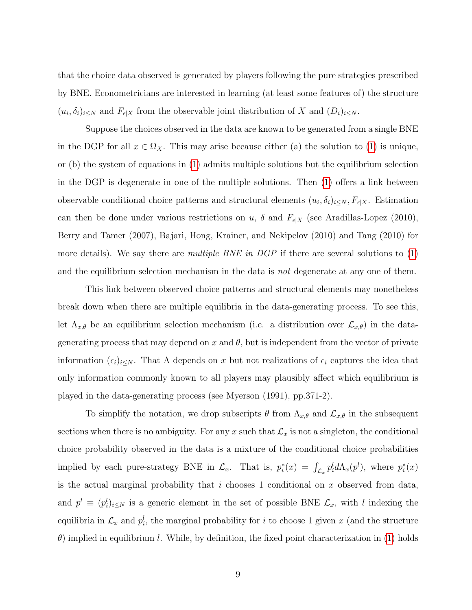that the choice data observed is generated by players following the pure strategies prescribed by BNE. Econometricians are interested in learning (at least some features of) the structure  $(u_i, \delta_i)_{i \leq N}$  and  $F_{\epsilon|X}$  from the observable joint distribution of X and  $(D_i)_{i \leq N}$ .

Suppose the choices observed in the data are known to be generated from a single BNE in the DGP for all  $x \in \Omega_X$ . This may arise because either (a) the solution to [\(1\)](#page-8-0) is unique, or (b) the system of equations in [\(1\)](#page-8-0) admits multiple solutions but the equilibrium selection in the DGP is degenerate in one of the multiple solutions. Then [\(1\)](#page-8-0) offers a link between observable conditional choice patterns and structural elements  $(u_i, \delta_i)_{i \leq N}, F_{\epsilon|X}$ . Estimation can then be done under various restrictions on u,  $\delta$  and  $F_{\epsilon|X}$  (see Aradillas-Lopez (2010), Berry and Tamer (2007), Bajari, Hong, Krainer, and Nekipelov (2010) and Tang (2010) for more details). We say there are *multiple BNE in DGP* if there are several solutions to  $(1)$ and the equilibrium selection mechanism in the data is *not* degenerate at any one of them.

This link between observed choice patterns and structural elements may nonetheless break down when there are multiple equilibria in the data-generating process. To see this, let  $\Lambda_{x,\theta}$  be an equilibrium selection mechanism (i.e. a distribution over  $\mathcal{L}_{x,\theta}$ ) in the datagenerating process that may depend on x and  $\theta$ , but is independent from the vector of private information  $(\epsilon_i)_{i\leq N}$ . That  $\Lambda$  depends on x but not realizations of  $\epsilon_i$  captures the idea that only information commonly known to all players may plausibly affect which equilibrium is played in the data-generating process (see Myerson (1991), pp.371-2).

To simplify the notation, we drop subscripts  $\theta$  from  $\Lambda_{x,\theta}$  and  $\mathcal{L}_{x,\theta}$  in the subsequent sections when there is no ambiguity. For any x such that  $\mathcal{L}_x$  is not a singleton, the conditional choice probability observed in the data is a mixture of the conditional choice probabilities implied by each pure-strategy BNE in  $\mathcal{L}_x$ . That is,  $p_i^*(x) = \int_{\mathcal{L}_x} p_i^l d\Lambda_x(p^l)$ , where  $p_i^*(x)$ is the actual marginal probability that i chooses 1 conditional on x observed from data, and  $p^l \equiv (p_i^l)_{i \leq N}$  is a generic element in the set of possible BNE  $\mathcal{L}_x$ , with l indexing the equilibria in  $\mathcal{L}_x$  and  $p_i^l$ , the marginal probability for i to choose 1 given x (and the structure  $\theta$ ) implied in equilibrium l. While, by definition, the fixed point characterization in [\(1\)](#page-8-0) holds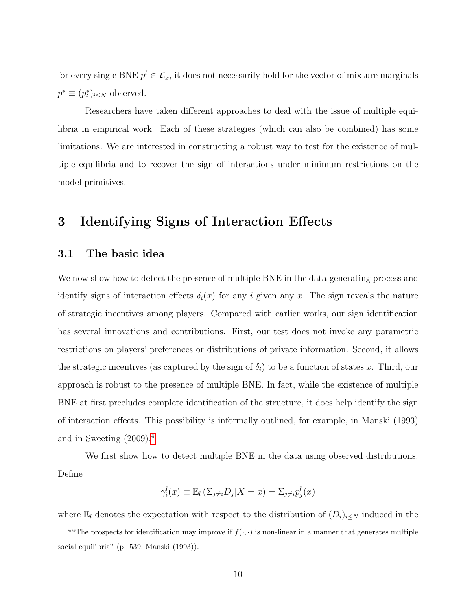for every single BNE  $p^{l} \in \mathcal{L}_{x}$ , it does not necessarily hold for the vector of mixture marginals  $p^* \equiv (p_i^*)_{i \leq N}$  observed.

Researchers have taken different approaches to deal with the issue of multiple equilibria in empirical work. Each of these strategies (which can also be combined) has some limitations. We are interested in constructing a robust way to test for the existence of multiple equilibria and to recover the sign of interactions under minimum restrictions on the model primitives.

## <span id="page-10-0"></span>3 Identifying Signs of Interaction Effects

#### <span id="page-10-2"></span>3.1 The basic idea

We now show how to detect the presence of multiple BNE in the data-generating process and identify signs of interaction effects  $\delta_i(x)$  for any i given any x. The sign reveals the nature of strategic incentives among players. Compared with earlier works, our sign identification has several innovations and contributions. First, our test does not invoke any parametric restrictions on players' preferences or distributions of private information. Second, it allows the strategic incentives (as captured by the sign of  $\delta_i$ ) to be a function of states x. Third, our approach is robust to the presence of multiple BNE. In fact, while the existence of multiple BNE at first precludes complete identification of the structure, it does help identify the sign of interaction effects. This possibility is informally outlined, for example, in Manski (1993) and in Sweeting (2009).[4](#page-10-1)

We first show how to detect multiple BNE in the data using observed distributions. Define

$$
\gamma_i^l(x) \equiv \mathbb{E}_l \left( \sum_{j \neq i} D_j | X = x \right) = \sum_{j \neq i} p_j^l(x)
$$

where  $\mathbb{E}_l$  denotes the expectation with respect to the distribution of  $(D_i)_{i\leq N}$  induced in the

<span id="page-10-1"></span><sup>&</sup>lt;sup>4</sup> "The prospects for identification may improve if  $f(\cdot, \cdot)$  is non-linear in a manner that generates multiple social equilibria" (p. 539, Manski (1993)).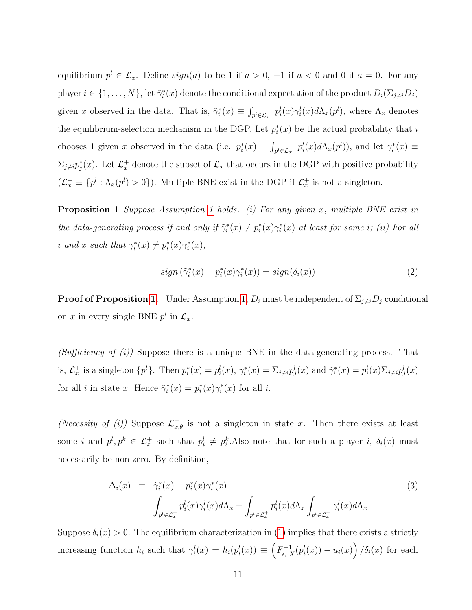equilibrium  $p^{l} \in \mathcal{L}_{x}$ . Define  $sign(a)$  to be 1 if  $a > 0$ ,  $-1$  if  $a < 0$  and 0 if  $a = 0$ . For any player  $i \in \{1, \ldots, N\}$ , let  $\tilde{\gamma}_i^*(x)$  denote the conditional expectation of the product  $D_i(\Sigma_{j\neq i}D_j)$ given x observed in the data. That is,  $\tilde{\gamma}_i^*(x) \equiv \int_{p^l \in \mathcal{L}_x} p_i^l(x) \gamma_i^l(x) d\Lambda_x(p^l)$ , where  $\Lambda_x$  denotes the equilibrium-selection mechanism in the DGP. Let  $p_i^*(x)$  be the actual probability that i chooses 1 given x observed in the data (i.e.  $p_i^*(x) = \int_{p^l \in \mathcal{L}_x} p_i^l(x) d\Lambda_x(p^l)$ ), and let  $\gamma_i^*(x) \equiv$  $\Sigma_{j\neq i} p_j^*(x)$ . Let  $\mathcal{L}_x^+$  denote the subset of  $\mathcal{L}_x$  that occurs in the DGP with positive probability  $(\mathcal{L}_x^+ \equiv \{p^l : \Lambda_x(p^l) > 0\})$ . Multiple BNE exist in the DGP if  $\mathcal{L}_x^+$  is not a singleton.

<span id="page-11-0"></span>**Proposition [1](#page-7-0)** Suppose Assumption 1 holds. (i) For any given x, multiple BNE exist in the data-generating process if and only if  $\tilde{\gamma}_i^*(x) \neq p_i^*(x)\gamma_i^*(x)$  at least for some i; (ii) For all *i* and x such that  $\tilde{\gamma}_i^*(x) \neq p_i^*(x)\gamma_i^*(x)$ ,

$$
sign\left(\tilde{\gamma}_i^*(x) - p_i^*(x)\gamma_i^*(x)\right) = sign(\delta_i(x))\tag{2}
$$

**Proof of Proposition [1.](#page-11-0)** Under Assumption [1,](#page-7-0)  $D_i$  must be independent of  $\Sigma_{j\neq i}D_j$  conditional on x in every single BNE  $p^l$  in  $\mathcal{L}_x$ .

(Sufficiency of  $(i)$ ) Suppose there is a unique BNE in the data-generating process. That is,  $\mathcal{L}_x^+$  is a singleton  $\{p^l\}$ . Then  $p_i^*(x) = p_i^l(x)$ ,  $\gamma_i^*(x) = \sum_{j\neq i} p_j^l(x)$  and  $\tilde{\gamma}_i^*(x) = p_i^l(x) \sum_{j\neq i} p_j^l(x)$ for all *i* in state x. Hence  $\tilde{\gamma}_i^*(x) = p_i^*(x)\gamma_i^*(x)$  for all *i*.

(Necessity of (i)) Suppose  $\mathcal{L}_{x,\theta}^+$  is not a singleton in state x. Then there exists at least some *i* and  $p^l, p^k \in \mathcal{L}_x^+$  such that  $p^l_i \neq p^k_i$ . Also note that for such a player *i*,  $\delta_i(x)$  must necessarily be non-zero. By definition,

<span id="page-11-1"></span>
$$
\Delta_i(x) \equiv \tilde{\gamma}_i^*(x) - p_i^*(x)\gamma_i^*(x) \n= \int_{p^l \in \mathcal{L}_x^+} p_i^l(x)\gamma_i^l(x)d\Lambda_x - \int_{p^l \in \mathcal{L}_x^+} p_i^l(x)d\Lambda_x \int_{p^l \in \mathcal{L}_x^+} \gamma_i^l(x)d\Lambda_x
$$
\n(3)

Suppose  $\delta_i(x) > 0$ . The equilibrium characterization in [\(1\)](#page-8-0) implies that there exists a strictly increasing function  $h_i$  such that  $\gamma_i^l(x) = h_i(p_i^l(x)) \equiv \left(F_{\epsilon_i}^{-1}\right)^l$  $\int_{\epsilon_i|X}^{1-1}(p_i^l(x))-u_i(x)\Big)/\delta_i(x)$  for each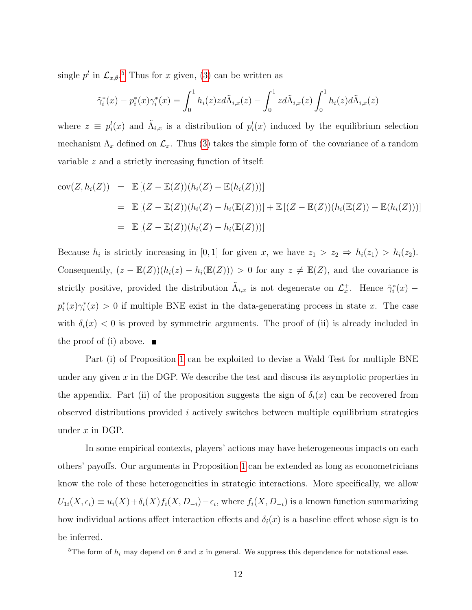single  $p^l$  in  $\mathcal{L}_{x,\theta}$ .<sup>[5](#page-12-0)</sup> Thus for x given, [\(3\)](#page-11-1) can be written as

$$
\tilde{\gamma}_i^*(x) - p_i^*(x)\gamma_i^*(x) = \int_0^1 h_i(z)z d\tilde{\Lambda}_{i,x}(z) - \int_0^1 z d\tilde{\Lambda}_{i,x}(z) \int_0^1 h_i(z) d\tilde{\Lambda}_{i,x}(z)
$$

where  $z \equiv p_i^l(x)$  and  $\tilde{\Lambda}_{i,x}$  is a distribution of  $p_i^l(x)$  induced by the equilibrium selection mechanism  $\Lambda_x$  defined on  $\mathcal{L}_x$ . Thus [\(3\)](#page-11-1) takes the simple form of the covariance of a random variable z and a strictly increasing function of itself:

$$
cov(Z, h_i(Z)) = \mathbb{E}[(Z - \mathbb{E}(Z))(h_i(Z) - \mathbb{E}(h_i(Z)))]
$$
  
\n
$$
= \mathbb{E}[(Z - \mathbb{E}(Z))(h_i(Z) - h_i(\mathbb{E}(Z)))] + \mathbb{E}[(Z - \mathbb{E}(Z))(h_i(\mathbb{E}(Z)) - \mathbb{E}(h_i(Z)))]
$$
  
\n
$$
= \mathbb{E}[(Z - \mathbb{E}(Z))(h_i(Z) - h_i(\mathbb{E}(Z)))]
$$

Because  $h_i$  is strictly increasing in [0,1] for given x, we have  $z_1 > z_2 \Rightarrow h_i(z_1) > h_i(z_2)$ . Consequently,  $(z - \mathbb{E}(Z))(h_i(z) - h_i(\mathbb{E}(Z))) > 0$  for any  $z \neq \mathbb{E}(Z)$ , and the covariance is strictly positive, provided the distribution  $\tilde{\Lambda}_{i,x}$  is not degenerate on  $\mathcal{L}_x^+$ . Hence  $\tilde{\gamma}_i^*(x)$  –  $p_i^*(x)\gamma_i^*(x) > 0$  if multiple BNE exist in the data-generating process in state x. The case with  $\delta_i(x)$  < 0 is proved by symmetric arguments. The proof of (ii) is already included in the proof of (i) above.  $\blacksquare$ 

Part (i) of Proposition [1](#page-11-0) can be exploited to devise a Wald Test for multiple BNE under any given  $x$  in the DGP. We describe the test and discuss its asymptotic properties in the appendix. Part (ii) of the proposition suggests the sign of  $\delta_i(x)$  can be recovered from observed distributions provided i actively switches between multiple equilibrium strategies under  $x$  in DGP.

In some empirical contexts, players' actions may have heterogeneous impacts on each others' payoffs. Our arguments in Proposition [1](#page-11-0) can be extended as long as econometricians know the role of these heterogeneities in strategic interactions. More specifically, we allow  $U_{1i}(X,\epsilon_i) \equiv u_i(X) + \delta_i(X) f_i(X, D_{-i}) - \epsilon_i$ , where  $f_i(X, D_{-i})$  is a known function summarizing how individual actions affect interaction effects and  $\delta_i(x)$  is a baseline effect whose sign is to be inferred.

<span id="page-12-0"></span><sup>&</sup>lt;sup>5</sup>The form of  $h_i$  may depend on  $\theta$  and x in general. We suppress this dependence for notational ease.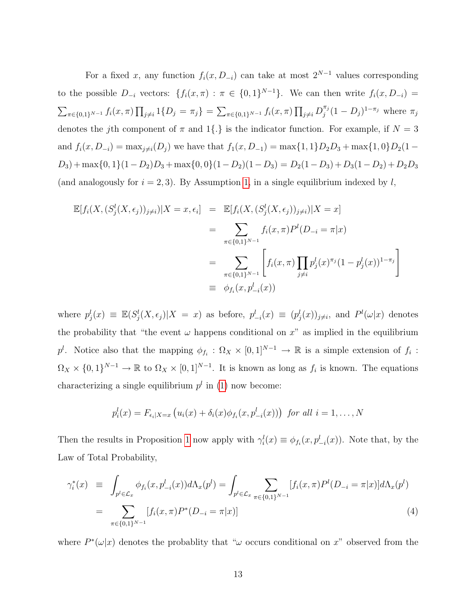For a fixed x, any function  $f_i(x, D_{-i})$  can take at most  $2^{N-1}$  values corresponding to the possible  $D_{-i}$  vectors:  $\{f_i(x,\pi) : \pi \in \{0,1\}^{N-1}\}\$ . We can then write  $f_i(x, D_{-i}) =$  $\sum_{\pi \in \{0,1\}^{N-1}} f_i(x, \pi) \prod_{j \neq i} 1\{D_j = \pi_j\} = \sum_{\pi \in \{0,1\}^{N-1}} f_i(x, \pi) \prod_{j \neq i} D_j^{\pi_j}$  $j^{\pi_j}(1-D_j)^{1-\pi_j}$  where  $\pi_j$ denotes the jth component of  $\pi$  and 1{.} is the indicator function. For example, if  $N = 3$ and  $f_i(x, D_{-i}) = \max_{j \neq i}(D_j)$  we have that  $f_1(x, D_{-1}) = \max\{1, 1\}D_2D_3 + \max\{1, 0\}D_2(1 D_3$  + max{0, 1}(1 –  $D_2$ ) $D_3$  + max{0, 0}(1 –  $D_2$ )(1 –  $D_3$ ) =  $D_2(1 - D_3) + D_3(1 - D_2) + D_2D_3$ (and analogously for  $i = 2, 3$ ). By Assumption [1,](#page-7-0) in a single equilibrium indexed by l,

$$
\mathbb{E}[f_i(X, (S_j^l(X, \epsilon_j))_{j\neq i})|X = x, \epsilon_i] = \mathbb{E}[f_i(X, (S_j^l(X, \epsilon_j))_{j\neq i})|X = x]
$$
  
\n
$$
= \sum_{\pi \in \{0,1\}^{N-1}} f_i(x, \pi) P^l(D_{-i} = \pi | x)
$$
  
\n
$$
= \sum_{\pi \in \{0,1\}^{N-1}} \left[ f_i(x, \pi) \prod_{j\neq i} p_j^l(x)^{\pi_j} (1 - p_j^l(x))^{1 - \pi_j} \right]
$$
  
\n
$$
= \phi_{f_i}(x, p_{-i}^l(x))
$$

where  $p_j^l(x) \equiv \mathbb{E}(S_j^l(X, \epsilon_j) | X = x)$  as before,  $p_{-i}^l(x) \equiv (p_j^l(x))_{j \neq i}$ , and  $P^l(\omega | x)$  denotes the probability that "the event  $\omega$  happens conditional on  $x$ " as implied in the equilibrium p<sup>l</sup>. Notice also that the mapping  $\phi_{f_i}: \Omega_X \times [0,1]^{N-1} \to \mathbb{R}$  is a simple extension of  $f_i$ :  $\Omega_X \times \{0,1\}^{N-1} \to \mathbb{R}$  to  $\Omega_X \times [0,1]^{N-1}$ . It is known as long as  $f_i$  is known. The equations characterizing a single equilibrium  $p<sup>l</sup>$  in [\(1\)](#page-8-0) now become:

$$
p_i^l(x) = F_{\epsilon_i|X=x} \left( u_i(x) + \delta_i(x) \phi_{f_i}(x, p_{-i}^l(x)) \right) \text{ for all } i = 1, \ldots, N
$$

Then the results in Proposition [1](#page-11-0) now apply with  $\gamma_i^l(x) \equiv \phi_{f_i}(x, p_{-i}^l(x))$ . Note that, by the Law of Total Probability,

<span id="page-13-0"></span>
$$
\gamma_i^*(x) \equiv \int_{p^l \in \mathcal{L}_x} \phi_{f_i}(x, p_{-i}^l(x)) d\Lambda_x(p^l) = \int_{p^l \in \mathcal{L}_x} \sum_{\pi \in \{0, 1\}^{N-1}} [f_i(x, \pi) P^l(D_{-i} = \pi | x)] d\Lambda_x(p^l)
$$

$$
= \sum_{\pi \in \{0, 1\}^{N-1}} [f_i(x, \pi) P^*(D_{-i} = \pi | x)] \tag{4}
$$

where  $P^*(\omega|x)$  denotes the probablity that " $\omega$  occurs conditional on x" observed from the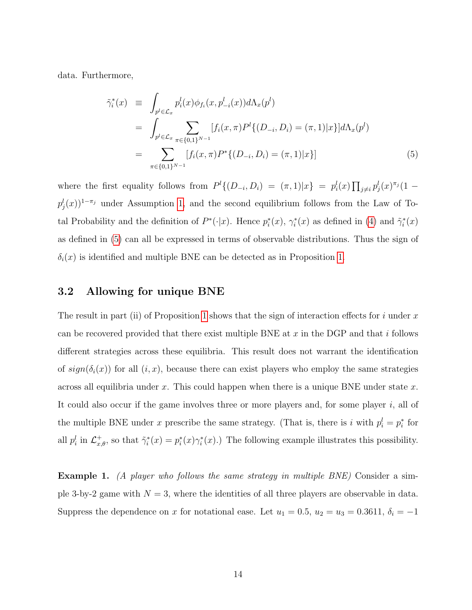data. Furthermore,

<span id="page-14-0"></span>
$$
\tilde{\gamma}_i^*(x) \equiv \int_{p^l \in \mathcal{L}_x} p_i^l(x) \phi_{f_i}(x, p_{-i}^l(x)) d\Lambda_x(p^l) \n= \int_{p^l \in \mathcal{L}_x} \sum_{\pi \in \{0, 1\}^{N-1}} [f_i(x, \pi) P^l \{ (D_{-i}, D_i) = (\pi, 1) | x \} ] d\Lambda_x(p^l) \n= \sum_{\pi \in \{0, 1\}^{N-1}} [f_i(x, \pi) P^* \{ (D_{-i}, D_i) = (\pi, 1) | x \}]
$$
\n(5)

where the first equality follows from  $P^l\{(D_{-i}, D_i) = (\pi, 1)|x\} = p_i^l(x) \prod_{j \neq i} p_j^l(x)^{\pi_j}(1$  $p_j^l(x)$ <sup>1-π<sub>j</sub> under Assumption [1,](#page-7-0) and the second equilibrium follows from the Law of To-</sup> tal Probability and the definition of  $P^*(\cdot|x)$ . Hence  $p_i^*(x)$ ,  $\gamma_i^*(x)$  as defined in [\(4\)](#page-13-0) and  $\tilde{\gamma}_i^*(x)$ as defined in [\(5\)](#page-14-0) can all be expressed in terms of observable distributions. Thus the sign of  $\delta_i(x)$  is identified and multiple BNE can be detected as in Proposition [1.](#page-11-0)

#### 3.2 Allowing for unique BNE

The result in part (ii) of Proposition [1](#page-11-0) shows that the sign of interaction effects for i under x can be recovered provided that there exist multiple BNE at  $x$  in the DGP and that i follows different strategies across these equilibria. This result does not warrant the identification of  $sign(\delta_i(x))$  for all  $(i, x)$ , because there can exist players who employ the same strategies across all equilibria under x. This could happen when there is a unique BNE under state x. It could also occur if the game involves three or more players and, for some player  $i$ , all of the multiple BNE under x prescribe the same strategy. (That is, there is i with  $p_i^l = p_i^*$  for all  $p_i^l$  in  $\mathcal{L}_{x,\theta}^+$ , so that  $\tilde{\gamma}_i^*(x) = p_i^*(x)\gamma_i^*(x)$ .) The following example illustrates this possibility.

**Example 1.** (A player who follows the same strategy in multiple BNE) Consider a simple 3-by-2 game with  $N = 3$ , where the identities of all three players are observable in data. Suppress the dependence on x for notational ease. Let  $u_1 = 0.5$ ,  $u_2 = u_3 = 0.3611$ ,  $\delta_i = -1$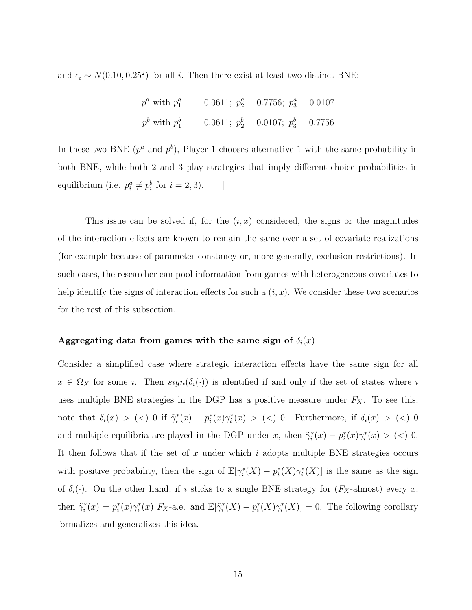and  $\epsilon_i \sim N(0.10, 0.25^2)$  for all i. Then there exist at least two distinct BNE:

$$
p^a
$$
 with  $p_1^a$  = 0.0611;  $p_2^a$  = 0.7756;  $p_3^a$  = 0.0107  
\n $p^b$  with  $p_1^b$  = 0.0611;  $p_2^b$  = 0.0107;  $p_3^b$  = 0.7756

In these two BNE  $(p^a \text{ and } p^b)$ , Player 1 chooses alternative 1 with the same probability in both BNE, while both 2 and 3 play strategies that imply different choice probabilities in equilibrium (i.e.  $p_i^a \neq p_i^b$  for  $i = 2, 3$ ).  $\parallel$ 

This issue can be solved if, for the  $(i, x)$  considered, the signs or the magnitudes of the interaction effects are known to remain the same over a set of covariate realizations (for example because of parameter constancy or, more generally, exclusion restrictions). In such cases, the researcher can pool information from games with heterogeneous covariates to help identify the signs of interaction effects for such a  $(i, x)$ . We consider these two scenarios for the rest of this subsection.

#### Aggregating data from games with the same sign of  $\delta_i(x)$

<span id="page-15-0"></span>Consider a simplified case where strategic interaction effects have the same sign for all  $x \in \Omega_X$  for some *i*. Then  $sign(\delta_i(\cdot))$  is identified if and only if the set of states where *i* uses multiple BNE strategies in the DGP has a positive measure under  $F_X$ . To see this, note that  $\delta_i(x) > (\langle) 0$  if  $\tilde{\gamma}_i^*(x) - p_i^*(x)\gamma_i^*(x) > (\langle) 0$ . Furthermore, if  $\delta_i(x) > (\langle) 0$ and multiple equilibria are played in the DGP under x, then  $\tilde{\gamma}_i^*(x) - p_i^*(x)\gamma_i^*(x) > (\leq) 0$ . It then follows that if the set of x under which i adopts multiple BNE strategies occurs with positive probability, then the sign of  $\mathbb{E}[\tilde{\gamma}_i^*(X) - p_i^*(X)\gamma_i^*(X)]$  is the same as the sign of  $\delta_i(\cdot)$ . On the other hand, if i sticks to a single BNE strategy for  $(F_X\text{-almost})$  every x, then  $\tilde{\gamma}_i^*(x) = p_i^*(x)\gamma_i^*(x)$   $F_X$ -a.e. and  $\mathbb{E}[\tilde{\gamma}_i^*(X) - p_i^*(X)\gamma_i^*(X)] = 0$ . The following corollary formalizes and generalizes this idea.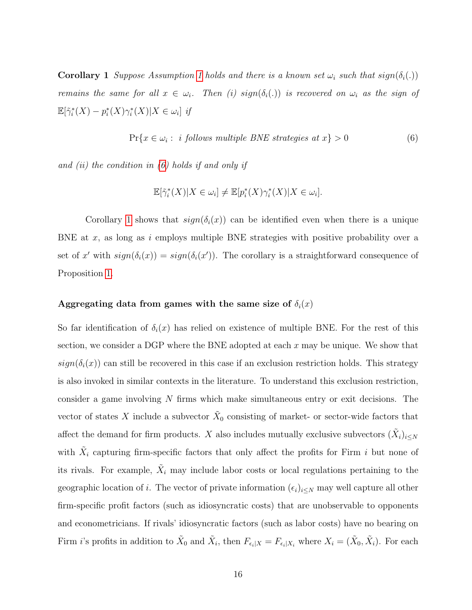**Corollary [1](#page-7-0)** Suppose Assumption 1 holds and there is a known set  $\omega_i$  such that  $sign(\delta_i(.))$ remains the same for all  $x \in \omega_i$ . Then (i)  $sign(\delta_i(.))$  is recovered on  $\omega_i$  as the sign of  $\mathbb{E}[\tilde{\gamma}_i^*(X) - p_i^*(X)\gamma_i^*(X)|X \in \omega_i]$  if

<span id="page-16-0"></span>
$$
Pr{x \in \omega_i : i follows multiple BNE strategies at x} > 0
$$
\n
$$
(6)
$$

and (ii) the condition in  $(6)$  holds if and only if

$$
\mathbb{E}[\tilde{\gamma}_i^*(X)|X \in \omega_i] \neq \mathbb{E}[p_i^*(X)\gamma_i^*(X)|X \in \omega_i].
$$

Corollary [1](#page-15-0) shows that  $sign(\delta_i(x))$  can be identified even when there is a unique BNE at x, as long as i employs multiple BNE strategies with positive probability over a set of x' with  $sign(\delta_i(x)) = sign(\delta_i(x'))$ . The corollary is a straightforward consequence of Proposition [1.](#page-11-0)

#### Aggregating data from games with the same size of  $\delta_i(x)$

So far identification of  $\delta_i(x)$  has relied on existence of multiple BNE. For the rest of this section, we consider a DGP where the BNE adopted at each  $x$  may be unique. We show that  $sign(\delta_i(x))$  can still be recovered in this case if an exclusion restriction holds. This strategy is also invoked in similar contexts in the literature. To understand this exclusion restriction, consider a game involving N firms which make simultaneous entry or exit decisions. The vector of states X include a subvector  $\tilde{X}_0$  consisting of market- or sector-wide factors that affect the demand for firm products. X also includes mutually exclusive subvectors  $(\tilde{X}_i)_{i\leq N}$ with  $\tilde{X}_i$  capturing firm-specific factors that only affect the profits for Firm i but none of its rivals. For example,  $\tilde{X}_i$  may include labor costs or local regulations pertaining to the geographic location of i. The vector of private information  $(\epsilon_i)_{i\leq N}$  may well capture all other firm-specific profit factors (such as idiosyncratic costs) that are unobservable to opponents and econometricians. If rivals' idiosyncratic factors (such as labor costs) have no bearing on Firm *i*'s profits in addition to  $\tilde{X}_0$  and  $\tilde{X}_i$ , then  $F_{\epsilon_i|X} = F_{\epsilon_i|X_i}$  where  $X_i = (\tilde{X}_0, \tilde{X}_i)$ . For each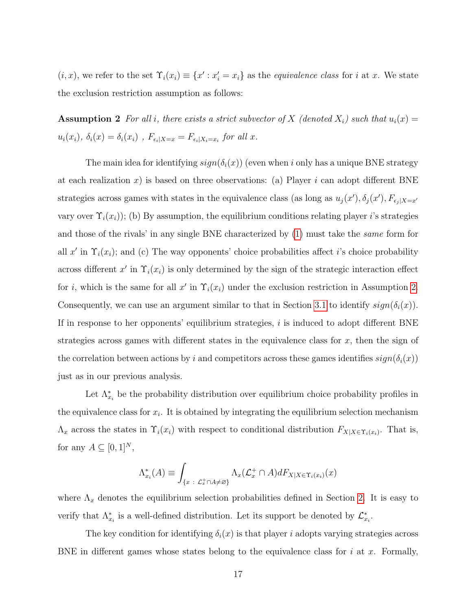$(i, x)$ , we refer to the set  $\Upsilon_i(x_i) \equiv \{x' : x'_i = x_i\}$  as the *equivalence class* for i at x. We state the exclusion restriction assumption as follows:

<span id="page-17-0"></span>**Assumption 2** For all i, there exists a strict subvector of X (denoted  $X_i$ ) such that  $u_i(x) =$  $u_i(x_i)$ ,  $\delta_i(x) = \delta_i(x_i)$ ,  $F_{\epsilon_i|X=x} = F_{\epsilon_i|X_i=x_i}$  for all x.

The main idea for identifying  $sign(\delta_i(x))$  (even when i only has a unique BNE strategy at each realization x) is based on three observations: (a) Player i can adopt different BNE strategies across games with states in the equivalence class (as long as  $u_j(x')$ ,  $\delta_j(x')$ ,  $F_{\epsilon_j|X=x'}$ vary over  $\Upsilon_i(x_i)$ ); (b) By assumption, the equilibrium conditions relating player i's strategies and those of the rivals' in any single BNE characterized by [\(1\)](#page-8-0) must take the same form for all x' in  $\Upsilon_i(x_i)$ ; and (c) The way opponents' choice probabilities affect i's choice probability across different x' in  $\Upsilon_i(x_i)$  is only determined by the sign of the strategic interaction effect for *i*, which is the same for all  $x'$  in  $\Upsilon_i(x_i)$  under the exclusion restriction in Assumption [2.](#page-17-0) Consequently, we can use an argument similar to that in Section [3.1](#page-10-2) to identify  $sign(\delta_i(x))$ . If in response to her opponents' equilibrium strategies,  $i$  is induced to adopt different BNE strategies across games with different states in the equivalence class for  $x$ , then the sign of the correlation between actions by i and competitors across these games identifies  $sign(\delta_i(x))$ just as in our previous analysis.

Let  $\Lambda_{x_i}^*$  be the probability distribution over equilibrium choice probability profiles in the equivalence class for  $x_i$ . It is obtained by integrating the equilibrium selection mechanism  $\Lambda_x$  across the states in  $\Upsilon_i(x_i)$  with respect to conditional distribution  $F_{X|X \in \Upsilon_i(x_i)}$ . That is, for any  $A \subseteq [0,1]^N$ ,

$$
\Lambda_{x_i}^*(A) \equiv \int_{\{x \; : \; \mathcal{L}_x^+\cap A\neq \varnothing\}} \Lambda_x(\mathcal{L}_x^+\cap A)dF_{X|X\in \Upsilon_i(x_i)}(x)
$$

where  $\Lambda_x$  denotes the equilibrium selection probabilities defined in Section [2.](#page-6-0) It is easy to verify that  $\Lambda_{x_i}^*$  is a well-defined distribution. Let its support be denoted by  $\mathcal{L}_{x_i}^*$ .

The key condition for identifying  $\delta_i(x)$  is that player i adopts varying strategies across BNE in different games whose states belong to the equivalence class for  $i$  at  $x$ . Formally,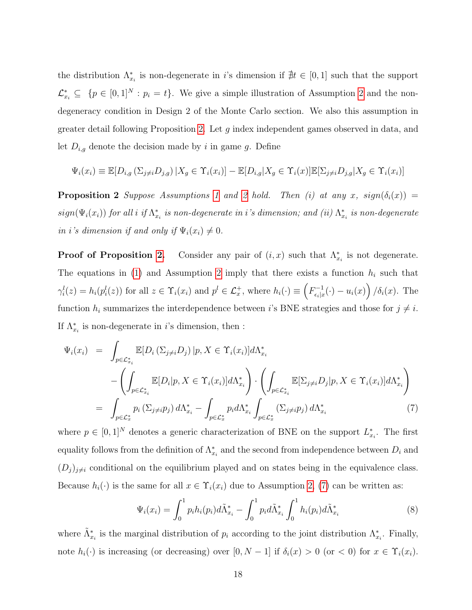the distribution  $\Lambda_{x_i}^*$  is non-degenerate in *i*'s dimension if  $\#t \in [0,1]$  such that the support  $\mathcal{L}^*_{x_i} \subseteq \{p \in [0,1]^N : p_i = t\}.$  We give a simple illustration of Assumption [2](#page-17-0) and the nondegeneracy condition in Design 2 of the Monte Carlo section. We also this assumption in greater detail following Proposition [2.](#page-18-0) Let  $g$  index independent games observed in data, and let  $D_{i,g}$  denote the decision made by i in game g. Define

$$
\Psi_i(x_i) \equiv \mathbb{E}[D_{i,g}(\Sigma_{j\neq i}D_{j,g}) \mid X_g \in \Upsilon_i(x_i)] - \mathbb{E}[D_{i,g}|X_g \in \Upsilon_i(x)]\mathbb{E}[\Sigma_{j\neq i}D_{j,g}|X_g \in \Upsilon_i(x_i)]
$$

<span id="page-18-0"></span>**Proposition [2](#page-17-0)** Suppose Assumptions [1](#page-7-0) and 2 hold. Then (i) at any x,  $sign(\delta_i(x))$  =  $sign(\Psi_i(x_i))$  for all i if  $\Lambda_{x_i}^*$  is non-degenerate in i's dimension; and (ii)  $\Lambda_{x_i}^*$  is non-degenerate in i's dimension if and only if  $\Psi_i(x_i) \neq 0$ .

**Proof of Proposition [2.](#page-18-0)** Consider any pair of  $(i, x)$  such that  $\Lambda_{x_i}^*$  is not degenerate. The equations in [\(1\)](#page-8-0) and Assumption [2](#page-17-0) imply that there exists a function  $h_i$  such that  $\gamma_i^l(z) = h_i(p_i^l(z))$  for all  $z \in \Upsilon_i(x_i)$  and  $p^l \in \mathcal{L}_x^+$ , where  $h_i(\cdot) \equiv \left(F_{\epsilon_i|x_i}^{-1}\right)$  $\int_{\epsilon_i|x}^{\epsilon_i-1} (\cdot) - u_i(x) \bigg) / \delta_i(x)$ . The function  $h_i$  summarizes the interdependence between i's BNE strategies and those for  $j \neq i$ . If  $\Lambda_{x_i}^*$  is non-degenerate in *i*'s dimension, then :

<span id="page-18-1"></span>
$$
\Psi_i(x_i) = \int_{p \in \mathcal{L}^*_{x_i}} \mathbb{E}[D_i(\Sigma_{j \neq i} D_j) | p, X \in \Upsilon_i(x_i)] d\Lambda^*_{x_i}
$$
\n
$$
- \left( \int_{p \in \mathcal{L}^*_{x_i}} \mathbb{E}[D_i | p, X \in \Upsilon_i(x_i)] d\Lambda^*_{x_i} \right) \cdot \left( \int_{p \in \mathcal{L}^*_{x_i}} \mathbb{E}[\Sigma_{j \neq i} D_j | p, X \in \Upsilon_i(x_i)] d\Lambda^*_{x_i} \right)
$$
\n
$$
= \int_{p \in \mathcal{L}^*_{x_i}} p_i(\Sigma_{j \neq i} p_j) d\Lambda^*_{x_i} - \int_{p \in \mathcal{L}^*_{x_i}} p_i d\Lambda^*_{x_i} \int_{p \in \mathcal{L}^*_{x_i}} (\Sigma_{j \neq i} p_j) d\Lambda^*_{x_i} \tag{7}
$$

where  $p \in [0,1]^N$  denotes a generic characterization of BNE on the support  $L_{x_i}^*$ . The first equality follows from the definition of  $\Lambda_{x_i}^*$  and the second from independence between  $D_i$  and  $(D_j)_{j\neq i}$  conditional on the equilibrium played and on states being in the equivalence class. Because  $h_i(\cdot)$  is the same for all  $x \in \Upsilon_i(x_i)$  due to Assumption [2,](#page-17-0) [\(7\)](#page-18-1) can be written as:

<span id="page-18-2"></span>
$$
\Psi_i(x_i) = \int_0^1 p_i h_i(p_i) d\tilde{\Lambda}_{x_i}^* - \int_0^1 p_i d\tilde{\Lambda}_{x_i}^* \int_0^1 h_i(p_i) d\tilde{\Lambda}_{x_i}^* \tag{8}
$$

where  $\tilde{\Lambda}_{x_i}^*$  is the marginal distribution of  $p_i$  according to the joint distribution  $\Lambda_{x_i}^*$ . Finally, note  $h_i(\cdot)$  is increasing (or decreasing) over  $[0, N - 1]$  if  $\delta_i(x) > 0$  (or  $\lt 0$ ) for  $x \in \Upsilon_i(x_i)$ .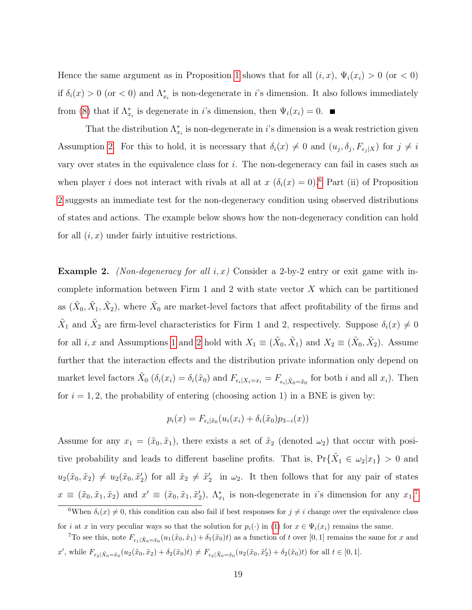Hence the same argument as in Proposition [1](#page-11-0) shows that for all  $(i, x)$ ,  $\Psi_i(x_i) > 0$  (or  $\lt 0$ ) if  $\delta_i(x) > 0$  (or  $\lt 0$ ) and  $\Lambda_{x_i}^*$  is non-degenerate in i's dimension. It also follows immediately from [\(8\)](#page-18-2) that if  $\Lambda_{x_i}^*$  is degenerate in *i*'s dimension, then  $\Psi_i(x_i) = 0$ .

That the distribution  $\Lambda_{x_i}^*$  is non-degenerate in i's dimension is a weak restriction given Assumption [2.](#page-17-0) For this to hold, it is necessary that  $\delta_i(x) \neq 0$  and  $(u_j, \delta_j, F_{\epsilon_j|X})$  for  $j \neq i$ vary over states in the equivalence class for  $i$ . The non-degeneracy can fail in cases such as when player *i* does not interact with rivals at all at  $x (\delta_i(x) = 0)$ .<sup>[6](#page-19-0)</sup> Part (ii) of Proposition [2](#page-18-0) suggests an immediate test for the non-degeneracy condition using observed distributions of states and actions. The example below shows how the non-degeneracy condition can hold for all  $(i, x)$  under fairly intuitive restrictions.

**Example 2.** (Non-degeneracy for all i, x) Consider a 2-by-2 entry or exit game with incomplete information between Firm 1 and 2 with state vector  $X$  which can be partitioned as  $(\tilde{X}_0, \tilde{X}_1, \tilde{X}_2)$ , where  $\tilde{X}_0$  are market-level factors that affect profitability of the firms and  $\tilde{X}_1$  and  $\tilde{X}_2$  are firm-level characteristics for Firm 1 and 2, respectively. Suppose  $\delta_i(x) \neq 0$ for all *i*, *x* and Assumptions [1](#page-7-0) and [2](#page-17-0) hold with  $X_1 \equiv (\tilde{X}_0, \tilde{X}_1)$  and  $X_2 \equiv (\tilde{X}_0, \tilde{X}_2)$ . Assume further that the interaction effects and the distribution private information only depend on market level factors  $\tilde{X}_0$   $(\delta_i(x_i) = \delta_i(\tilde{x}_0)$  and  $F_{\epsilon_i|X_i=x_i} = F_{\epsilon_i|\tilde{X}_0=\tilde{x}_0}$  for both i and all  $x_i$ ). Then for  $i = 1, 2$ , the probability of entering (choosing action 1) in a BNE is given by:

$$
p_i(x) = F_{\epsilon_i | \tilde{x}_0}(u_i(x_i) + \delta_i(\tilde{x}_0)p_{3-i}(x))
$$

Assume for any  $x_1 = (\tilde{x}_0, \tilde{x}_1)$ , there exists a set of  $\tilde{x}_2$  (denoted  $\omega_2$ ) that occur with positive probability and leads to different baseline profits. That is,  $Pr\{\tilde{X}_1 \in \omega_2 | x_1\} > 0$  and  $u_2(\tilde{x}_0, \tilde{x}_2) \neq u_2(\tilde{x}_0, \tilde{x}_2')$  for all  $\tilde{x}_2 \neq \tilde{x}_2'$  in  $\omega_2$ . It then follows that for any pair of states  $x \equiv (\tilde{x}_0, \tilde{x}_1, \tilde{x}_2)$  and  $x' \equiv (\tilde{x}_0, \tilde{x}_1, \tilde{x}_2'), \Lambda^*_{x_1}$  is non-degenerate in i's dimension for any  $x_1$ .<sup>[7](#page-19-1)</sup>

<span id="page-19-0"></span><sup>&</sup>lt;sup>6</sup>When  $\delta_i(x) \neq 0$ , this condition can also fail if best responses for  $j \neq i$  change over the equivalence class for i at x in very peculiar ways so that the solution for  $p_i(\cdot)$  in [\(1\)](#page-8-0) for  $x \in \Psi_i(x_i)$  remains the same.

<span id="page-19-1"></span><sup>&</sup>lt;sup>7</sup>To see this, note  $F_{\epsilon_1|\tilde{X}_0=\tilde{x}_0}(u_1(\tilde{x}_0,\tilde{x}_1)+\delta_1(\tilde{x}_0)t)$  as a function of t over [0, 1] remains the same for x and  $x'$ , while  $F_{\epsilon_2|\tilde{X}_0=\tilde{x}_0}(u_2(\tilde{x}_0,\tilde{x}_2)+\delta_2(\tilde{x}_0)t) \neq F_{\epsilon_2|\tilde{X}_0=\tilde{x}_0}(u_2(\tilde{x}_0,\tilde{x}_2')+\delta_2(\tilde{x}_0)t)$  for all  $t \in [0,1]$ .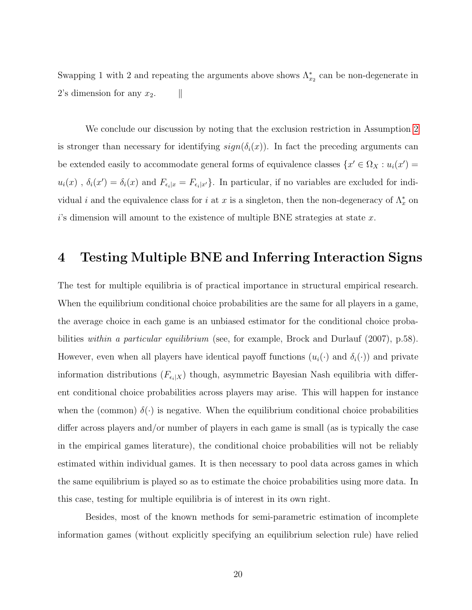Swapping 1 with 2 and repeating the arguments above shows  $\Lambda_{x_2}^*$  can be non-degenerate in 2's dimension for any  $x_2$ .  $\parallel$ 

We conclude our discussion by noting that the exclusion restriction in Assumption [2](#page-17-0) is stronger than necessary for identifying  $sign(\delta_i(x))$ . In fact the preceding arguments can be extended easily to accommodate general forms of equivalence classes  $\{x' \in \Omega_X : u_i(x') =$  $u_i(x)$ ,  $\delta_i(x') = \delta_i(x)$  and  $F_{\epsilon_i|x} = F_{\epsilon_i|x'}$ . In particular, if no variables are excluded for individual *i* and the equivalence class for *i* at *x* is a singleton, then the non-degeneracy of  $\Lambda_x^*$  on  $i$ 's dimension will amount to the existence of multiple BNE strategies at state x.

## <span id="page-20-0"></span>4 Testing Multiple BNE and Inferring Interaction Signs

The test for multiple equilibria is of practical importance in structural empirical research. When the equilibrium conditional choice probabilities are the same for all players in a game, the average choice in each game is an unbiased estimator for the conditional choice probabilities within a particular equilibrium (see, for example, Brock and Durlauf (2007), p.58). However, even when all players have identical payoff functions  $(u_i(\cdot)$  and  $\delta_i(\cdot))$  and private information distributions  $(F_{\epsilon_i|X})$  though, asymmetric Bayesian Nash equilibria with different conditional choice probabilities across players may arise. This will happen for instance when the (common)  $\delta(\cdot)$  is negative. When the equilibrium conditional choice probabilities differ across players and/or number of players in each game is small (as is typically the case in the empirical games literature), the conditional choice probabilities will not be reliably estimated within individual games. It is then necessary to pool data across games in which the same equilibrium is played so as to estimate the choice probabilities using more data. In this case, testing for multiple equilibria is of interest in its own right.

Besides, most of the known methods for semi-parametric estimation of incomplete information games (without explicitly specifying an equilibrium selection rule) have relied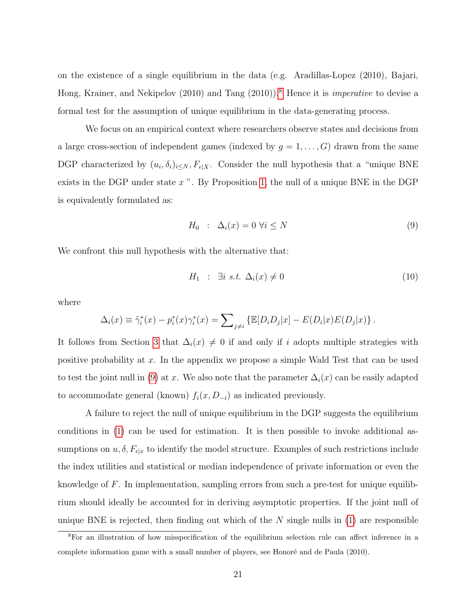on the existence of a single equilibrium in the data (e.g. Aradillas-Lopez (2010), Bajari, Hong, Krainer, and Nekipelov (2010) and Tang (2010)).<sup>[8](#page-21-0)</sup> Hence it is *imperative* to devise a formal test for the assumption of unique equilibrium in the data-generating process.

We focus on an empirical context where researchers observe states and decisions from a large cross-section of independent games (indexed by  $g = 1, \ldots, G$ ) drawn from the same DGP characterized by  $(u_i, \delta_i)_{i \leq N}$ ,  $F_{\epsilon|X}$ . Consider the null hypothesis that a "unique BNE exists in the DGP under state  $x$ ". By Proposition [1,](#page-11-0) the null of a unique BNE in the DGP is equivalently formulated as:

<span id="page-21-1"></span>
$$
H_0 : \Delta_i(x) = 0 \,\forall i \le N \tag{9}
$$

We confront this null hypothesis with the alternative that:

$$
H_1 : \exists i \ s.t. \ \Delta_i(x) \neq 0 \tag{10}
$$

where

$$
\Delta_i(x) \equiv \tilde{\gamma}_i^*(x) - p_i^*(x)\gamma_i^*(x) = \sum_{j \neq i} \left\{ \mathbb{E}[D_i D_j | x] - E(D_i | x)E(D_j | x) \right\}.
$$

It follows from Section [3](#page-10-0) that  $\Delta_i(x) \neq 0$  if and only if i adopts multiple strategies with positive probability at x. In the appendix we propose a simple Wald Test that can be used to test the joint null in [\(9\)](#page-21-1) at x. We also note that the parameter  $\Delta_i(x)$  can be easily adapted to accommodate general (known)  $f_i(x, D_{-i})$  as indicated previously.

A failure to reject the null of unique equilibrium in the DGP suggests the equilibrium conditions in [\(1\)](#page-8-0) can be used for estimation. It is then possible to invoke additional assumptions on  $u, \delta, F_{\epsilon|x}$  to identify the model structure. Examples of such restrictions include the index utilities and statistical or median independence of private information or even the knowledge of F. In implementation, sampling errors from such a pre-test for unique equilibrium should ideally be accounted for in deriving asymptotic properties. If the joint null of unique BNE is rejected, then finding out which of the  $N$  single nulls in  $(1)$  are responsible

<span id="page-21-0"></span><sup>8</sup>For an illustration of how misspecification of the equilibrium selection rule can affect inference in a complete information game with a small number of players, see Honoré and de Paula (2010).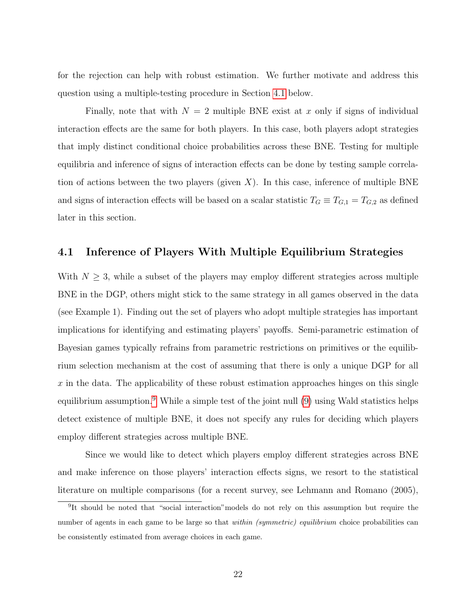for the rejection can help with robust estimation. We further motivate and address this question using a multiple-testing procedure in Section [4.1](#page-22-0) below.

Finally, note that with  $N = 2$  multiple BNE exist at x only if signs of individual interaction effects are the same for both players. In this case, both players adopt strategies that imply distinct conditional choice probabilities across these BNE. Testing for multiple equilibria and inference of signs of interaction effects can be done by testing sample correlation of actions between the two players (given X). In this case, inference of multiple BNE and signs of interaction effects will be based on a scalar statistic  $T_G \equiv T_{G,1} = T_{G,2}$  as defined later in this section.

#### <span id="page-22-0"></span>4.1 Inference of Players With Multiple Equilibrium Strategies

With  $N \geq 3$ , while a subset of the players may employ different strategies across multiple BNE in the DGP, others might stick to the same strategy in all games observed in the data (see Example 1). Finding out the set of players who adopt multiple strategies has important implications for identifying and estimating players' payoffs. Semi-parametric estimation of Bayesian games typically refrains from parametric restrictions on primitives or the equilibrium selection mechanism at the cost of assuming that there is only a unique DGP for all  $x$  in the data. The applicability of these robust estimation approaches hinges on this single equilibrium assumption.<sup>[9](#page-22-1)</sup> While a simple test of the joint null [\(9\)](#page-21-1) using Wald statistics helps detect existence of multiple BNE, it does not specify any rules for deciding which players employ different strategies across multiple BNE.

Since we would like to detect which players employ different strategies across BNE and make inference on those players' interaction effects signs, we resort to the statistical literature on multiple comparisons (for a recent survey, see Lehmann and Romano (2005),

<span id="page-22-1"></span><sup>&</sup>lt;sup>9</sup>It should be noted that "social interaction" models do not rely on this assumption but require the number of agents in each game to be large so that *within (symmetric) equilibrium* choice probabilities can be consistently estimated from average choices in each game.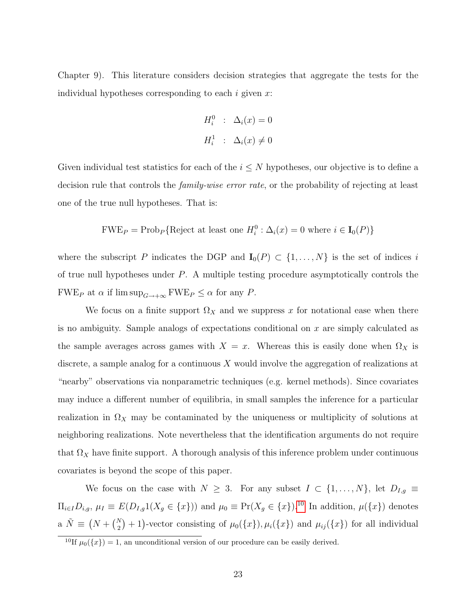Chapter 9). This literature considers decision strategies that aggregate the tests for the individual hypotheses corresponding to each  $i$  given  $x$ :

$$
H_i^0 : \Delta_i(x) = 0
$$
  

$$
H_i^1 : \Delta_i(x) \neq 0
$$

Given individual test statistics for each of the  $i \leq N$  hypotheses, our objective is to define a decision rule that controls the *family-wise error rate*, or the probability of rejecting at least one of the true null hypotheses. That is:

$$
FWE_P = \text{Prob}_P \{ \text{Reject at least one } H_i^0 : \Delta_i(x) = 0 \text{ where } i \in I_0(P) \}
$$

where the subscript P indicates the DGP and  $I_0(P) \subset \{1, ..., N\}$  is the set of indices i of true null hypotheses under P. A multiple testing procedure asymptotically controls the FWE<sub>P</sub> at  $\alpha$  if  $\limsup_{G\to+\infty}$  FWE<sub>P</sub>  $\leq \alpha$  for any P.

We focus on a finite support  $\Omega_X$  and we suppress x for notational ease when there is no ambiguity. Sample analogs of expectations conditional on  $x$  are simply calculated as the sample averages across games with  $X = x$ . Whereas this is easily done when  $\Omega_X$  is discrete, a sample analog for a continuous  $X$  would involve the aggregation of realizations at "nearby" observations via nonparametric techniques (e.g. kernel methods). Since covariates may induce a different number of equilibria, in small samples the inference for a particular realization in  $\Omega_X$  may be contaminated by the uniqueness or multiplicity of solutions at neighboring realizations. Note nevertheless that the identification arguments do not require that  $\Omega_X$  have finite support. A thorough analysis of this inference problem under continuous covariates is beyond the scope of this paper.

We focus on the case with  $N \geq 3$ . For any subset  $I \subset \{1, ..., N\}$ , let  $D_{I,g} \equiv$  $\Pi_{i\in I}D_{i,g}, \mu_I \equiv E(D_{I,g}1(X_g \in \{x\}))$  and  $\mu_0 \equiv \Pr(X_g \in \{x\})$ .<sup>[10](#page-23-0)</sup> In addition,  $\mu(\{x\})$  denotes a  $\tilde{N} \equiv (N + {N \choose 2} + 1)$ -vector consisting of  $\mu_0({x \}, \mu_i({x \})$  and  $\mu_{ij}({x \})$  for all individual

<span id="page-23-0"></span><sup>&</sup>lt;sup>10</sup>If  $\mu_0({x}) = 1$ , an unconditional version of our procedure can be easily derived.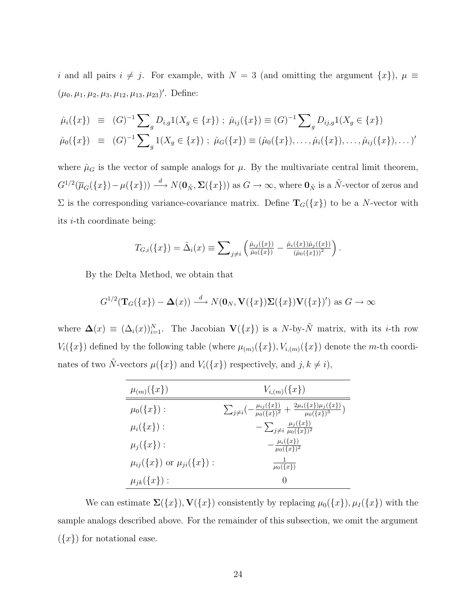i and all pairs  $i \neq j$ . For example, with  $N = 3$  (and omitting the argument  $\{x\}$ ),  $\mu \equiv$  $(\mu_0, \mu_1, \mu_2, \mu_3, \mu_{12}, \mu_{13}, \mu_{23})'$ . Define:

$$
\hat{\mu}_i(\{x\}) \equiv (G)^{-1} \sum_g D_{i,g} 1(X_g \in \{x\}) ; \ \hat{\mu}_{ij}(\{x\}) \equiv (G)^{-1} \sum_g D_{ij,g} 1(X_g \in \{x\})
$$
\n
$$
\hat{\mu}_0(\{x\}) \equiv (G)^{-1} \sum_g 1(X_g \in \{x\}) ; \ \hat{\mu}_G(\{x\}) \equiv (\hat{\mu}_0(\{x\}), \dots, \hat{\mu}_i(\{x\}), \dots, \hat{\mu}_i(\{x\}), \dots)'
$$

where  $\hat{\mu}_G$  is the vector of sample analogs for  $\mu$ . By the multivariate central limit theorem,  $G^{1/2}(\overline{\mu}_G(\lbrace x \rbrace) - \mu(\lbrace x \rbrace)) \stackrel{d}{\longrightarrow} N(\mathbf{0}_{\tilde{N}}, \Sigma(\lbrace x \rbrace))$  as  $G \to \infty$ , where  $\mathbf{0}_{\tilde{N}}$  is a  $\tilde{N}$ -vector of zeros and  $\Sigma$  is the corresponding variance-covariance matrix. Define  $\mathbf{T}_G({x})$  to be a N-vector with its i-th coordinate being:

$$
T_{G,i}(\{x\}) = \hat{\Delta}_i(x) \equiv \sum_{j \neq i} \left( \frac{\hat{\mu}_{ij}(\{x\})}{\hat{\mu}_0(\{x\})} - \frac{\hat{\mu}_i(\{x\})\hat{\mu}_j(\{x\})}{(\hat{\mu}_0(\{x\}))^2} \right).
$$

By the Delta Method, we obtain that

$$
G^{1/2}(\mathbf{T}_G(\{x\}) - \Delta(x)) \stackrel{d}{\longrightarrow} N(\mathbf{0}_N, \mathbf{V}(\{x\})\mathbf{\Sigma}(\{x\})\mathbf{V}(\{x\})')
$$
 as  $G \to \infty$ 

where  $\Delta(x) \equiv (\Delta_i(x))_{i=1}^N$ . The Jacobian  $\mathbf{V}(\{x\})$  is a N-by- $\tilde{N}$  matrix, with its *i*-th row  $V_i({x})$  defined by the following table (where  $\mu_{(m)}({x})$ ,  $V_{i,(m)}({x})$  denote the m-th coordinates of two  $\tilde{N}$ -vectors  $\mu({x})$  and  $V_i({x})$  respectively, and  $j, k \neq i$ ,

| $\mu_{(m)}(\{x\})$                       | $V_{i,(m)}(\{x\})$                                                                                                       |
|------------------------------------------|--------------------------------------------------------------------------------------------------------------------------|
| $\mu_0(\{x\})$ :                         | $\sum_{j\neq i} \left(-\frac{\mu_{ij}(\{x\})}{\mu_0(\{x\})^2} + \frac{2\mu_i(\{x\})\mu_j(\{x\})}{\mu_0(\{x\})^3}\right)$ |
| $\mu_i({x})$ :                           | $-\sum_{j\neq i}\frac{\mu_j(\{x\})}{\mu_0(\{x\})^2}$                                                                     |
| $\mu_i({x})$ :                           | $-\frac{\mu_i(\{x\})}{\mu_0(\{x\})^2}$                                                                                   |
| $\mu_{ii}(\{x\})$ or $\mu_{ii}(\{x\})$ : | $rac{1}{\mu_0(\{x\})}$                                                                                                   |
| $\mu_{ik}(\{x\})$ :                      | $\left( \right)$                                                                                                         |

We can estimate  $\Sigma(\lbrace x \rbrace)$ ,  $\mathbf{V}(\lbrace x \rbrace)$  consistently by replacing  $\mu_0(\lbrace x \rbrace)$ ,  $\mu_I(\lbrace x \rbrace)$  with the sample analogs described above. For the remainder of this subsection, we omit the argument  $({x})$  for notational ease.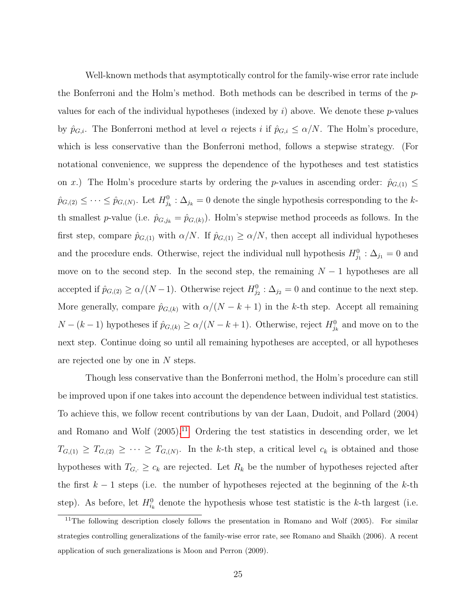Well-known methods that asymptotically control for the family-wise error rate include the Bonferroni and the Holm's method. Both methods can be described in terms of the pvalues for each of the individual hypotheses (indexed by i) above. We denote these  $p$ -values by  $\hat{p}_{G,i}$ . The Bonferroni method at level  $\alpha$  rejects i if  $\hat{p}_{G,i} \leq \alpha/N$ . The Holm's procedure, which is less conservative than the Bonferroni method, follows a stepwise strategy. (For notational convenience, we suppress the dependence of the hypotheses and test statistics on x.) The Holm's procedure starts by ordering the p-values in ascending order:  $\hat{p}_{G,(1)} \leq$  $\hat{p}_{G,(2)} \leq \cdots \leq \hat{p}_{G,(N)}$ . Let  $H_{j_k}^0: \Delta_{j_k} = 0$  denote the single hypothesis corresponding to the kth smallest p-value (i.e.  $\hat{p}_{G,j_k} = \hat{p}_{G,(k)}$ ). Holm's stepwise method proceeds as follows. In the first step, compare  $\hat{p}_{G,(1)}$  with  $\alpha/N$ . If  $\hat{p}_{G,(1)} \ge \alpha/N$ , then accept all individual hypotheses and the procedure ends. Otherwise, reject the individual null hypothesis  $H_{j_1}^0$ :  $\Delta_{j_1} = 0$  and move on to the second step. In the second step, the remaining  $N-1$  hypotheses are all accepted if  $\hat{p}_{G,(2)} \ge \alpha/(N-1)$ . Otherwise reject  $H_{j_2}^0$ :  $\Delta_{j_2} = 0$  and continue to the next step. More generally, compare  $\hat{p}_{G,(k)}$  with  $\alpha/(N-k+1)$  in the k-th step. Accept all remaining  $N - (k - 1)$  hypotheses if  $\hat{p}_{G,(k)} \ge \alpha/(N - k + 1)$ . Otherwise, reject  $H_{j_k}^0$  and move on to the next step. Continue doing so until all remaining hypotheses are accepted, or all hypotheses are rejected one by one in N steps.

Though less conservative than the Bonferroni method, the Holm's procedure can still be improved upon if one takes into account the dependence between individual test statistics. To achieve this, we follow recent contributions by van der Laan, Dudoit, and Pollard (2004) and Romano and Wolf  $(2005).<sup>11</sup>$  $(2005).<sup>11</sup>$  $(2005).<sup>11</sup>$  Ordering the test statistics in descending order, we let  $T_{G,(1)} \geq T_{G,(2)} \geq \cdots \geq T_{G,(N)}$ . In the k-th step, a critical level  $c_k$  is obtained and those hypotheses with  $T_{G<sub>i</sub> \geq c_k$  are rejected. Let  $R_k$  be the number of hypotheses rejected after the first  $k-1$  steps (i.e. the number of hypotheses rejected at the beginning of the k-th step). As before, let  $H_{i_k}^0$  denote the hypothesis whose test statistic is the k-th largest (i.e.

<span id="page-25-0"></span><sup>&</sup>lt;sup>11</sup>The following description closely follows the presentation in Romano and Wolf (2005). For similar strategies controlling generalizations of the family-wise error rate, see Romano and Shaikh (2006). A recent application of such generalizations is Moon and Perron (2009).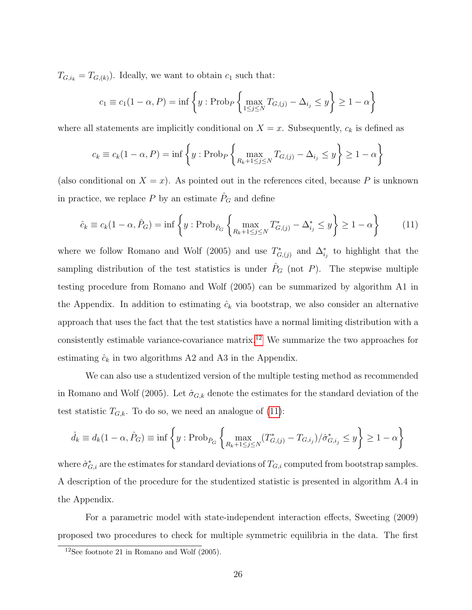$T_{G,i_k} = T_{G,(k)}$ . Ideally, we want to obtain  $c_1$  such that:

$$
c_1 \equiv c_1(1-\alpha, P) = \inf \left\{ y : \text{Prob}_P \left\{ \max_{1 \le j \le N} T_{G,(j)} - \Delta_{i_j} \le y \right\} \ge 1 - \alpha \right\}
$$

where all statements are implicitly conditional on  $X = x$ . Subsequently,  $c_k$  is defined as

$$
c_k \equiv c_k (1 - \alpha, P) = \inf \left\{ y : \text{Prob}_P \left\{ \max_{R_k + 1 \le j \le N} T_{G,(j)} - \Delta_{i_j} \le y \right\} \ge 1 - \alpha \right\}
$$

(also conditional on  $X = x$ ). As pointed out in the references cited, because P is unknown in practice, we replace P by an estimate  $\hat{P}_G$  and define

<span id="page-26-1"></span>
$$
\hat{c}_k \equiv c_k (1 - \alpha, \hat{P}_G) = \inf \left\{ y : \text{Prob}_{\hat{P}_G} \left\{ \max_{R_k + 1 \le j \le N} T^*_{G,j} - \Delta^*_{i_j} \le y \right\} \ge 1 - \alpha \right\} \tag{11}
$$

where we follow Romano and Wolf (2005) and use  $T^*_{G,(j)}$  and  $\Delta^*_{i_j}$  to highlight that the sampling distribution of the test statistics is under  $\hat{P}_G$  (not P). The stepwise multiple testing procedure from Romano and Wolf (2005) can be summarized by algorithm A1 in the Appendix. In addition to estimating  $\hat{c}_k$  via bootstrap, we also consider an alternative approach that uses the fact that the test statistics have a normal limiting distribution with a consistently estimable variance-covariance matrix.[12](#page-26-0) We summarize the two approaches for estimating  $\hat{c}_k$  in two algorithms A2 and A3 in the Appendix.

We can also use a studentized version of the multiple testing method as recommended in Romano and Wolf (2005). Let  $\hat{\sigma}_{G,k}$  denote the estimates for the standard deviation of the test statistic  $T_{G,k}$ . To do so, we need an analogue of [\(11\)](#page-26-1):

$$
\hat{d}_k \equiv d_k(1-\alpha, \hat{P}_G) \equiv \inf \left\{ y : \text{Prob}_{\hat{P}_G} \left\{ \max_{R_k+1 \le j \le N} (T^*_{G,(j)} - T_{G,i_j}) / \hat{\sigma}^*_{G,i_j} \le y \right\} \ge 1 - \alpha \right\}
$$

where  $\hat{\sigma}_{G,i}^*$  are the estimates for standard deviations of  $T_{G,i}$  computed from bootstrap samples. A description of the procedure for the studentized statistic is presented in algorithm A.4 in the Appendix.

For a parametric model with state-independent interaction effects, Sweeting (2009) proposed two procedures to check for multiple symmetric equilibria in the data. The first

<span id="page-26-0"></span> $12$ See footnote 21 in Romano and Wolf (2005).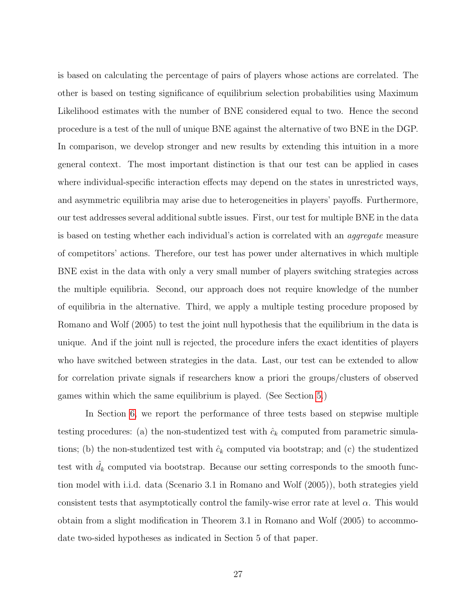is based on calculating the percentage of pairs of players whose actions are correlated. The other is based on testing significance of equilibrium selection probabilities using Maximum Likelihood estimates with the number of BNE considered equal to two. Hence the second procedure is a test of the null of unique BNE against the alternative of two BNE in the DGP. In comparison, we develop stronger and new results by extending this intuition in a more general context. The most important distinction is that our test can be applied in cases where individual-specific interaction effects may depend on the states in unrestricted ways, and asymmetric equilibria may arise due to heterogeneities in players' payoffs. Furthermore, our test addresses several additional subtle issues. First, our test for multiple BNE in the data is based on testing whether each individual's action is correlated with an aggregate measure of competitors' actions. Therefore, our test has power under alternatives in which multiple BNE exist in the data with only a very small number of players switching strategies across the multiple equilibria. Second, our approach does not require knowledge of the number of equilibria in the alternative. Third, we apply a multiple testing procedure proposed by Romano and Wolf (2005) to test the joint null hypothesis that the equilibrium in the data is unique. And if the joint null is rejected, the procedure infers the exact identities of players who have switched between strategies in the data. Last, our test can be extended to allow for correlation private signals if researchers know a priori the groups/clusters of observed games within which the same equilibrium is played. (See Section [5.](#page-29-0))

In Section [6,](#page-32-0) we report the performance of three tests based on stepwise multiple testing procedures: (a) the non-studentized test with  $\hat{c}_k$  computed from parametric simulations; (b) the non-studentized test with  $\hat{c}_k$  computed via bootstrap; and (c) the studentized test with  $d_k$  computed via bootstrap. Because our setting corresponds to the smooth function model with i.i.d. data (Scenario 3.1 in Romano and Wolf (2005)), both strategies yield consistent tests that asymptotically control the family-wise error rate at level  $\alpha$ . This would obtain from a slight modification in Theorem 3.1 in Romano and Wolf (2005) to accommodate two-sided hypotheses as indicated in Section 5 of that paper.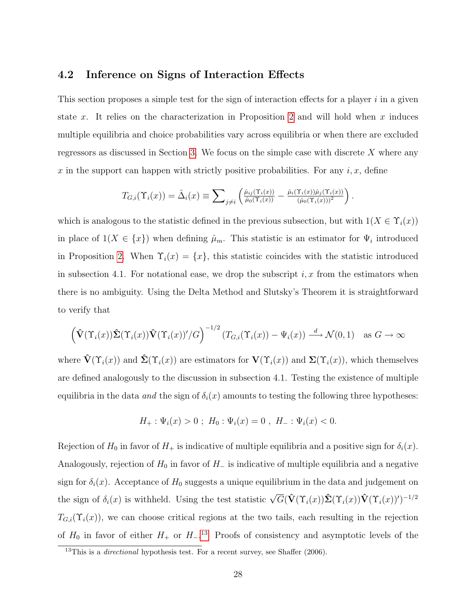#### 4.2 Inference on Signs of Interaction Effects

This section proposes a simple test for the sign of interaction effects for a player  $i$  in a given state x. It relies on the characterization in Proposition [2](#page-18-0) and will hold when x induces multiple equilibria and choice probabilities vary across equilibria or when there are excluded regressors as discussed in Section [3.](#page-10-0) We focus on the simple case with discrete X where any x in the support can happen with strictly positive probabilities. For any i, x, define

$$
T_{G,i}(\Upsilon_i(x)) = \hat{\Delta}_i(x) \equiv \sum_{j \neq i} \left( \frac{\hat{\mu}_{ij}(\Upsilon_i(x))}{\hat{\mu}_0(\Upsilon_i(x))} - \frac{\hat{\mu}_i(\Upsilon_i(x))\hat{\mu}_j(\Upsilon_i(x))}{(\hat{\mu}_0(\Upsilon_i(x)))^2} \right).
$$

which is analogous to the statistic defined in the previous subsection, but with  $1(X \in \Upsilon_i(x))$ in place of  $1(X \in \{x\})$  when defining  $\hat{\mu}_m$ . This statistic is an estimator for  $\Psi_i$  introduced in Proposition [2.](#page-18-0) When  $\Upsilon_i(x) = \{x\}$ , this statistic coincides with the statistic introduced in subsection 4.1. For notational ease, we drop the subscript  $i, x$  from the estimators when there is no ambiguity. Using the Delta Method and Slutsky's Theorem it is straightforward to verify that

$$
\left(\hat{\mathbf{V}}(\Upsilon_i(x))\hat{\boldsymbol{\Sigma}}(\Upsilon_i(x))\hat{\mathbf{V}}(\Upsilon_i(x))'/G\right)^{-1/2}\left(T_{G,i}(\Upsilon_i(x))-\Psi_i(x)\right) \stackrel{d}{\longrightarrow} \mathcal{N}(0,1) \quad \text{as } G \to \infty
$$

where  $\hat{\mathbf{V}}(\Upsilon_i(x))$  and  $\hat{\mathbf{\Sigma}}(\Upsilon_i(x))$  are estimators for  $\mathbf{V}(\Upsilon_i(x))$  and  $\mathbf{\Sigma}(\Upsilon_i(x))$ , which themselves are defined analogously to the discussion in subsection 4.1. Testing the existence of multiple equilibria in the data and the sign of  $\delta_i(x)$  amounts to testing the following three hypotheses:

$$
H_{+} : \Psi_{i}(x) > 0 \; ; \; H_{0} : \Psi_{i}(x) = 0 \; , \; H_{-} : \Psi_{i}(x) < 0.
$$

Rejection of  $H_0$  in favor of  $H_+$  is indicative of multiple equilibria and a positive sign for  $\delta_i(x)$ . Analogously, rejection of  $H_0$  in favor of  $H_-\$  is indicative of multiple equilibria and a negative sign for  $\delta_i(x)$ . Acceptance of  $H_0$  suggests a unique equilibrium in the data and judgement on the sign of  $\delta_i(x)$  is withheld. Using the test statistic  $\sqrt{G}(\hat{\mathbf{V}}(\Upsilon_i(x))\hat{\boldsymbol{\Sigma}}(\Upsilon_i(x))\hat{\mathbf{V}}(\Upsilon_i(x))')^{-1/2}$  $T_{G,i}(\Upsilon_i(x))$ , we can choose critical regions at the two tails, each resulting in the rejection of  $H_0$  in favor of either  $H_+$  or  $H_-$ .<sup>[13](#page-28-0)</sup> Proofs of consistency and asymptotic levels of the

<span id="page-28-0"></span> $13$ This is a *directional* hypothesis test. For a recent survey, see Shaffer (2006).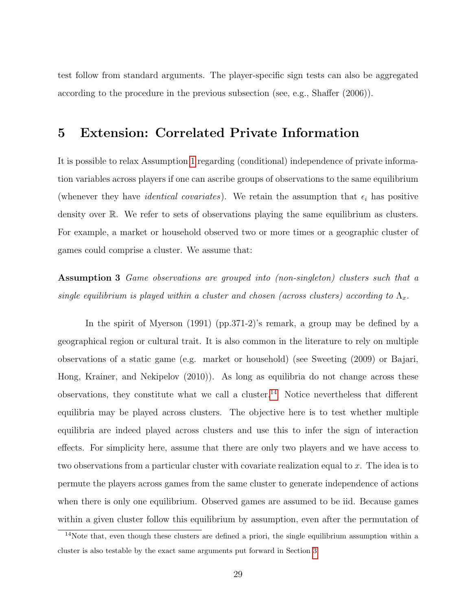test follow from standard arguments. The player-specific sign tests can also be aggregated according to the procedure in the previous subsection (see, e.g., Shaffer (2006)).

## <span id="page-29-0"></span>5 Extension: Correlated Private Information

It is possible to relax Assumption [1](#page-7-0) regarding (conditional) independence of private information variables across players if one can ascribe groups of observations to the same equilibrium (whenever they have *identical covariates*). We retain the assumption that  $\epsilon_i$  has positive density over R. We refer to sets of observations playing the same equilibrium as clusters. For example, a market or household observed two or more times or a geographic cluster of games could comprise a cluster. We assume that:

<span id="page-29-2"></span>Assumption 3 Game observations are grouped into (non-singleton) clusters such that a single equilibrium is played within a cluster and chosen (across clusters) according to  $\Lambda_x$ .

In the spirit of Myerson (1991) (pp.371-2)'s remark, a group may be defined by a geographical region or cultural trait. It is also common in the literature to rely on multiple observations of a static game (e.g. market or household) (see Sweeting (2009) or Bajari, Hong, Krainer, and Nekipelov (2010)). As long as equilibria do not change across these observations, they constitute what we call a cluster.<sup>[14](#page-29-1)</sup> Notice nevertheless that different equilibria may be played across clusters. The objective here is to test whether multiple equilibria are indeed played across clusters and use this to infer the sign of interaction effects. For simplicity here, assume that there are only two players and we have access to two observations from a particular cluster with covariate realization equal to x. The idea is to permute the players across games from the same cluster to generate independence of actions when there is only one equilibrium. Observed games are assumed to be iid. Because games within a given cluster follow this equilibrium by assumption, even after the permutation of

<span id="page-29-1"></span><sup>&</sup>lt;sup>14</sup>Note that, even though these clusters are defined a priori, the single equilibrium assumption within a cluster is also testable by the exact same arguments put forward in Section [3.](#page-10-0)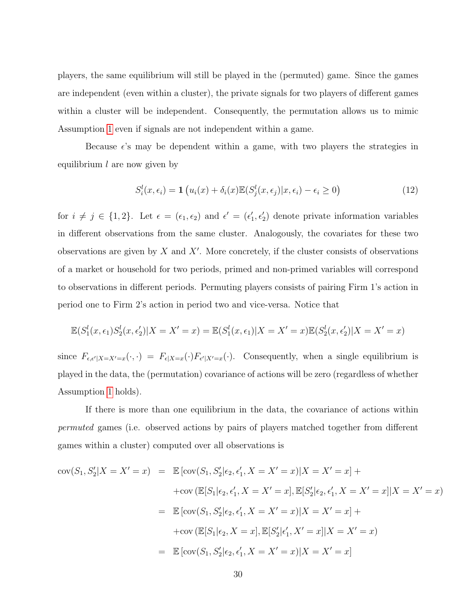players, the same equilibrium will still be played in the (permuted) game. Since the games are independent (even within a cluster), the private signals for two players of different games within a cluster will be independent. Consequently, the permutation allows us to mimic Assumption [1](#page-7-0) even if signals are not independent within a game.

Because  $\epsilon$ 's may be dependent within a game, with two players the strategies in equilibrium  $l$  are now given by

<span id="page-30-0"></span>
$$
S_i^l(x, \epsilon_i) = \mathbf{1} \left( u_i(x) + \delta_i(x) \mathbb{E}(S_j^l(x, \epsilon_j) | x, \epsilon_i) - \epsilon_i \ge 0 \right)
$$
(12)

for  $i \neq j \in \{1,2\}$ . Let  $\epsilon = (\epsilon_1, \epsilon_2)$  and  $\epsilon' = (\epsilon'_1, \epsilon'_2)$  denote private information variables in different observations from the same cluster. Analogously, the covariates for these two observations are given by  $X$  and  $X'$ . More concretely, if the cluster consists of observations of a market or household for two periods, primed and non-primed variables will correspond to observations in different periods. Permuting players consists of pairing Firm 1's action in period one to Firm 2's action in period two and vice-versa. Notice that

$$
\mathbb{E}(S_1^l(x, \epsilon_1)S_2^l(x, \epsilon_2')|X = X' = x) = \mathbb{E}(S_1^l(x, \epsilon_1)|X = X' = x)\mathbb{E}(S_2^l(x, \epsilon_2')|X = X' = x)
$$

since  $F_{\epsilon,\epsilon'|X=X'=x}(\cdot,\cdot) = F_{\epsilon|X=x}(\cdot)F_{\epsilon'|X'=x}(\cdot)$ . Consequently, when a single equilibrium is played in the data, the (permutation) covariance of actions will be zero (regardless of whether Assumption [1](#page-7-0) holds).

If there is more than one equilibrium in the data, the covariance of actions within permuted games (i.e. observed actions by pairs of players matched together from different games within a cluster) computed over all observations is

$$
cov(S_1, S_2'|X = X' = x) = \mathbb{E} [cov(S_1, S_2' | \epsilon_2, \epsilon_1', X = X' = x) | X = X' = x] +
$$
  
+
$$
cov(\mathbb{E}[S_1 | \epsilon_2, \epsilon_1', X = X' = x], \mathbb{E}[S_2' | \epsilon_2, \epsilon_1', X = X' = x] | X = X' = x)
$$
  
= 
$$
\mathbb{E} [cov(S_1, S_2' | \epsilon_2, \epsilon_1', X = X' = x) | X = X' = x] +
$$
  
+
$$
cov(\mathbb{E}[S_1 | \epsilon_2, X = x], \mathbb{E}[S_2' | \epsilon_1', X' = x] | X = X' = x)
$$
  
= 
$$
\mathbb{E} [cov(S_1, S_2' | \epsilon_2, \epsilon_1', X = X' = x) | X = X' = x]
$$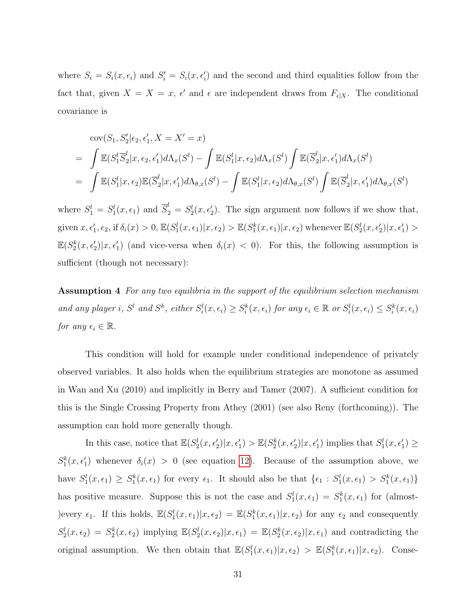where  $S_i = S_i(x, \epsilon_i)$  and  $S'_i = S_i(x, \epsilon'_i)$  and the second and third equalities follow from the fact that, given  $X = X = x$ ,  $\epsilon'$  and  $\epsilon$  are independent draws from  $F_{\epsilon|X}$ . The conditional covariance is

$$
\begin{split}\n& \text{cov}(S_1, S_2' | \epsilon_2, \epsilon_1', X = X' = x) \\
& = \int \mathbb{E}(S_1^l \overline{S}_2^l | x, \epsilon_2, \epsilon_1') d\Lambda_x(S^l) - \int \mathbb{E}(S_1^l | x, \epsilon_2) d\Lambda_x(S^l) \int \mathbb{E}(\overline{S}_2^l | x, \epsilon_1') d\Lambda_x(S^l) \\
& = \int \mathbb{E}(S_1^l | x, \epsilon_2) \mathbb{E}(\overline{S}_2^l | x, \epsilon_1') d\Lambda_{\theta, x}(S^l) - \int \mathbb{E}(S_1^l | x, \epsilon_2) d\Lambda_{\theta, x}(S^l) \int \mathbb{E}(\overline{S}_2^l | x, \epsilon_1') d\Lambda_{\theta, x}(S^l)\n\end{split}
$$

where  $S_1^l = S_1^l(x, \epsilon_1)$  and  $\overline{S}_2^l = S_2^l(x, \epsilon_2^l)$ . The sign argument now follows if we show that, given  $x, \epsilon'_1, \epsilon_2$ , if  $\delta_i(x) > 0$ ,  $\mathbb{E}(S_1^l(x, \epsilon_1)|x, \epsilon_2) > \mathbb{E}(S_1^k(x, \epsilon_1)|x, \epsilon_2)$  whenever  $\mathbb{E}(S_2^l(x, \epsilon'_2)|x, \epsilon'_1) >$  $\mathbb{E}(S_2^k(x,\epsilon_2')|x,\epsilon_1')$  (and vice-versa when  $\delta_i(x) < 0$ ). For this, the following assumption is sufficient (though not necessary):

<span id="page-31-0"></span>Assumption 4 For any two equilibria in the support of the equilibrium selection mechanism and any player i,  $S^l$  and  $S^k$ , either  $S_i^l(x, \epsilon_i) \geq S_i^k(x, \epsilon_i)$  for any  $\epsilon_i \in \mathbb{R}$  or  $S_i^l(x, \epsilon_i) \leq S_i^k(x, \epsilon_i)$ for any  $\epsilon_i \in \mathbb{R}$ .

This condition will hold for example under conditional independence of privately observed variables. It also holds when the equilibrium strategies are monotone as assumed in Wan and Xu (2010) and implicitly in Berry and Tamer (2007). A sufficient condition for this is the Single Crossing Property from Athey (2001) (see also Reny (forthcoming)). The assumption can hold more generally though.

In this case, notice that  $\mathbb{E}(S_2^l(x, \epsilon'_2)|x, \epsilon'_1) > \mathbb{E}(S_2^k(x, \epsilon'_2)|x, \epsilon'_1)$  implies that  $S_1^l(x, \epsilon'_1) \ge$  $S_1^k(x, \epsilon'_1)$  whenever  $\delta_i(x) > 0$  (see equation [12\)](#page-30-0). Because of the assumption above, we have  $S_1^l(x, \epsilon_1) \geq S_1^k(x, \epsilon_1)$  for every  $\epsilon_1$ . It should also be that  $\{\epsilon_1 : S_1^l(x, \epsilon_1) > S_1^k(x, \epsilon_1)\}$ has positive measure. Suppose this is not the case and  $S_1^l(x, \epsilon_1) = S_1^k(x, \epsilon_1)$  for (almost-)every  $\epsilon_1$ . If this holds,  $\mathbb{E}(S_1^l(x,\epsilon_1)|x,\epsilon_2) = \mathbb{E}(S_1^k(x,\epsilon_1)|x,\epsilon_2)$  for any  $\epsilon_2$  and consequently  $S_2^l(x,\epsilon_2) = S_2^k(x,\epsilon_2)$  implying  $\mathbb{E}(S_2^l(x,\epsilon_2)|x,\epsilon_1) = \mathbb{E}(S_2^k(x,\epsilon_2)|x,\epsilon_1)$  and contradicting the original assumption. We then obtain that  $\mathbb{E}(S_1^l(x, \epsilon_1)|x, \epsilon_2) > \mathbb{E}(S_1^k(x, \epsilon_1)|x, \epsilon_2)$ . Conse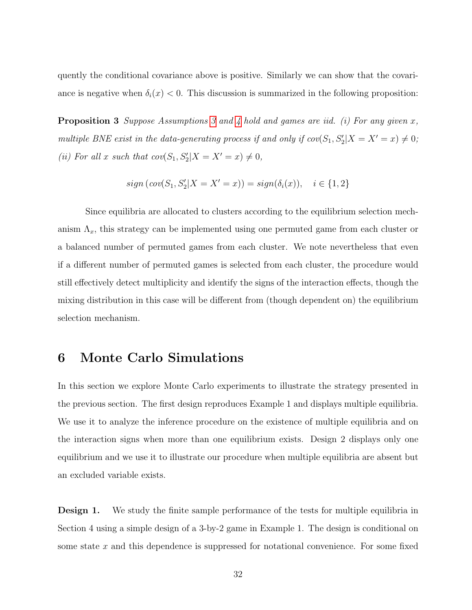quently the conditional covariance above is positive. Similarly we can show that the covariance is negative when  $\delta_i(x) < 0$ . This discussion is summarized in the following proposition:

**Proposition [3](#page-29-2)** Suppose Assumptions 3 and [4](#page-31-0) hold and games are iid. (i) For any given  $x$ , multiple BNE exist in the data-generating process if and only if  $cov(S_1, S_2' | X = X' = x) \neq 0;$ (ii) For all x such that  $cov(S_1, S_2'|X = X' = x) \neq 0$ ,

$$
sign\left( cov(S_1, S'_2 | X = X' = x) \right) = sign(\delta_i(x)), \quad i \in \{1, 2\}
$$

Since equilibria are allocated to clusters according to the equilibrium selection mechanism  $\Lambda_x$ , this strategy can be implemented using one permuted game from each cluster or a balanced number of permuted games from each cluster. We note nevertheless that even if a different number of permuted games is selected from each cluster, the procedure would still effectively detect multiplicity and identify the signs of the interaction effects, though the mixing distribution in this case will be different from (though dependent on) the equilibrium selection mechanism.

#### <span id="page-32-0"></span>6 Monte Carlo Simulations

In this section we explore Monte Carlo experiments to illustrate the strategy presented in the previous section. The first design reproduces Example 1 and displays multiple equilibria. We use it to analyze the inference procedure on the existence of multiple equilibria and on the interaction signs when more than one equilibrium exists. Design 2 displays only one equilibrium and we use it to illustrate our procedure when multiple equilibria are absent but an excluded variable exists.

**Design 1.** We study the finite sample performance of the tests for multiple equilibria in Section 4 using a simple design of a 3-by-2 game in Example 1. The design is conditional on some state  $x$  and this dependence is suppressed for notational convenience. For some fixed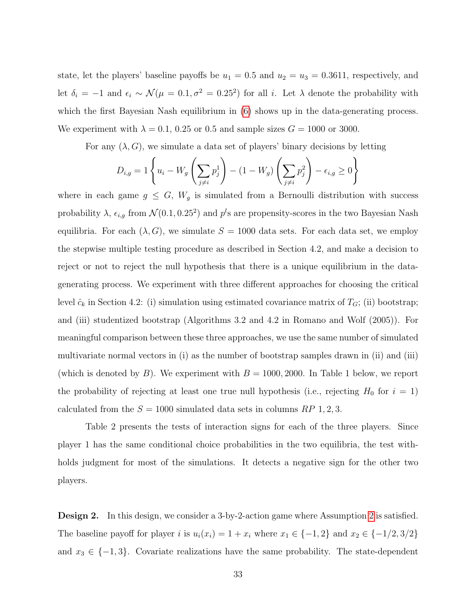state, let the players' baseline payoffs be  $u_1 = 0.5$  and  $u_2 = u_3 = 0.3611$ , respectively, and let  $\delta_i = -1$  and  $\epsilon_i \sim \mathcal{N}(\mu = 0.1, \sigma^2 = 0.25^2)$  for all i. Let  $\lambda$  denote the probability with which the first Bayesian Nash equilibrium in [\(6\)](#page-1-0) shows up in the data-generating process. We experiment with  $\lambda = 0.1, 0.25$  or 0.5 and sample sizes  $G = 1000$  or 3000.

For any  $(\lambda, G)$ , we simulate a data set of players' binary decisions by letting

$$
D_{i,g} = 1 \left\{ u_i - W_g \left( \sum_{j \neq i} p_j^1 \right) - (1 - W_g) \left( \sum_{j \neq i} p_j^2 \right) - \epsilon_{i,g} \ge 0 \right\}
$$

where in each game  $g \leq G$ ,  $W_g$  is simulated from a Bernoulli distribution with success probability  $\lambda$ ,  $\epsilon_{i,g}$  from  $\mathcal{N}(0.1, 0.25^2)$  and  $p^l$ s are propensity-scores in the two Bayesian Nash equilibria. For each  $(\lambda, G)$ , we simulate  $S = 1000$  data sets. For each data set, we employ the stepwise multiple testing procedure as described in Section 4.2, and make a decision to reject or not to reject the null hypothesis that there is a unique equilibrium in the datagenerating process. We experiment with three different approaches for choosing the critical level  $\hat{c}_k$  in Section 4.2: (i) simulation using estimated covariance matrix of  $T_G$ ; (ii) bootstrap; and (iii) studentized bootstrap (Algorithms 3.2 and 4.2 in Romano and Wolf (2005)). For meaningful comparison between these three approaches, we use the same number of simulated multivariate normal vectors in (i) as the number of bootstrap samples drawn in (ii) and (iii) (which is denoted by B). We experiment with  $B = 1000, 2000$ . In Table 1 below, we report the probability of rejecting at least one true null hypothesis (i.e., rejecting  $H_0$  for  $i = 1$ ) calculated from the  $S = 1000$  simulated data sets in columns RP 1, 2, 3.

Table 2 presents the tests of interaction signs for each of the three players. Since player 1 has the same conditional choice probabilities in the two equilibria, the test withholds judgment for most of the simulations. It detects a negative sign for the other two players.

Design 2. In this design, we consider a 3-by-2-action game where Assumption [2](#page-17-0) is satisfied. The baseline payoff for player i is  $u_i(x_i) = 1 + x_i$  where  $x_1 \in \{-1, 2\}$  and  $x_2 \in \{-1/2, 3/2\}$ and  $x_3 \in \{-1,3\}$ . Covariate realizations have the same probability. The state-dependent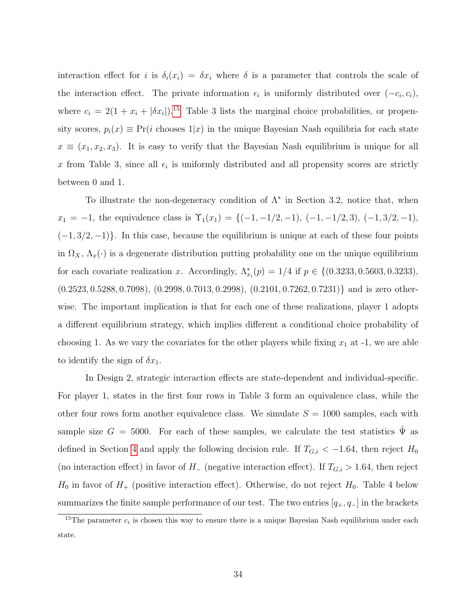interaction effect for i is  $\delta_i(x_i) = \delta x_i$  where  $\delta$  is a parameter that controls the scale of the interaction effect. The private information  $\epsilon_i$  is uniformly distributed over  $(-c_i, c_i)$ , where  $c_i = 2(1 + x_i + |\delta x_i|)^{15}$  $c_i = 2(1 + x_i + |\delta x_i|)^{15}$  $c_i = 2(1 + x_i + |\delta x_i|)^{15}$  Table 3 lists the marginal choice probabilities, or propensity scores,  $p_i(x) \equiv Pr(i \text{ chooses } 1|x)$  in the unique Bayesian Nash equilibria for each state  $x \equiv (x_1, x_2, x_3)$ . It is easy to verify that the Bayesian Nash equilibrium is unique for all x from Table 3, since all  $\epsilon_i$  is uniformly distributed and all propensity scores are strictly between 0 and 1.

To illustrate the non-degeneracy condition of  $\Lambda^*$  in Section 3.2, notice that, when  $x_1 = -1$ , the equivalence class is  $\Upsilon_1(x_1) = \{(-1, -1/2, -1), (-1, -1/2, 3), (-1, 3/2, -1),$  $(-1, 3/2, -1)$ . In this case, because the equilibrium is unique at each of these four points in  $\Omega_X$ ,  $\Lambda_x(\cdot)$  is a degenerate distribution putting probability one on the unique equilibrium for each covariate realization x. Accordingly,  $\Lambda_{x_i}^*(p) = 1/4$  if  $p \in \{(0.3233, 0.5603, 0.3233),\}$ (0.2523, 0.5288, 0.7098), (0.2998, 0.7013, 0.2998), (0.2101, 0.7262, 0.7231)} and is zero otherwise. The important implication is that for each one of these realizations, player 1 adopts a different equilibrium strategy, which implies different a conditional choice probability of choosing 1. As we vary the covariates for the other players while fixing  $x_1$  at  $-1$ , we are able to identify the sign of  $\delta x_1$ .

In Design 2, strategic interaction effects are state-dependent and individual-specific. For player 1, states in the first four rows in Table 3 form an equivalence class, while the other four rows form another equivalence class. We simulate  $S = 1000$  samples, each with sample size  $G = 5000$ . For each of these samples, we calculate the test statistics  $\hat{\Psi}$  as defined in Section [4](#page-20-0) and apply the following decision rule. If  $T_{G,i} < -1.64$ , then reject  $H_0$ (no interaction effect) in favor of  $H_-\$  (negative interaction effect). If  $T_{G,i} > 1.64$ , then reject  $H_0$  in favor of  $H_+$  (positive interaction effect). Otherwise, do not reject  $H_0$ . Table 4 below summarizes the finite sample performance of our test. The two entries  $[q_+, q_-]$  in the brackets

<span id="page-34-0"></span><sup>&</sup>lt;sup>15</sup>The parameter  $c_i$  is chosen this way to ensure there is a unique Bayesian Nash equilibrium under each state.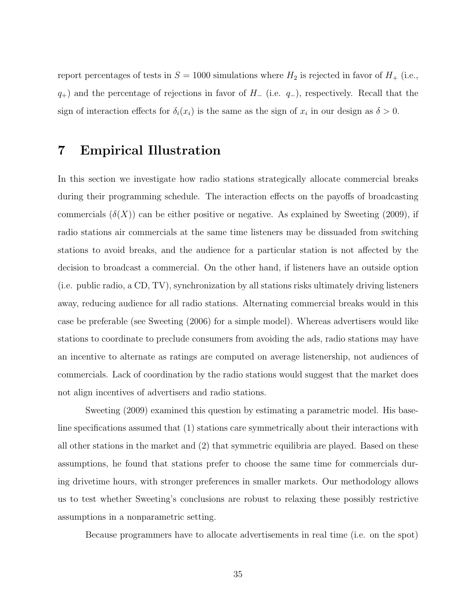report percentages of tests in  $S = 1000$  simulations where  $H_2$  is rejected in favor of  $H_+$  (i.e.,  $q_{+}$ ) and the percentage of rejections in favor of  $H_{-}$  (i.e.  $q_{-}$ ), respectively. Recall that the sign of interaction effects for  $\delta_i(x_i)$  is the same as the sign of  $x_i$  in our design as  $\delta > 0$ .

## <span id="page-35-0"></span>7 Empirical Illustration

In this section we investigate how radio stations strategically allocate commercial breaks during their programming schedule. The interaction effects on the payoffs of broadcasting commercials  $(\delta(X))$  can be either positive or negative. As explained by Sweeting (2009), if radio stations air commercials at the same time listeners may be dissuaded from switching stations to avoid breaks, and the audience for a particular station is not affected by the decision to broadcast a commercial. On the other hand, if listeners have an outside option (i.e. public radio, a CD, TV), synchronization by all stations risks ultimately driving listeners away, reducing audience for all radio stations. Alternating commercial breaks would in this case be preferable (see Sweeting (2006) for a simple model). Whereas advertisers would like stations to coordinate to preclude consumers from avoiding the ads, radio stations may have an incentive to alternate as ratings are computed on average listenership, not audiences of commercials. Lack of coordination by the radio stations would suggest that the market does not align incentives of advertisers and radio stations.

Sweeting (2009) examined this question by estimating a parametric model. His baseline specifications assumed that (1) stations care symmetrically about their interactions with all other stations in the market and (2) that symmetric equilibria are played. Based on these assumptions, he found that stations prefer to choose the same time for commercials during drivetime hours, with stronger preferences in smaller markets. Our methodology allows us to test whether Sweeting's conclusions are robust to relaxing these possibly restrictive assumptions in a nonparametric setting.

Because programmers have to allocate advertisements in real time (i.e. on the spot)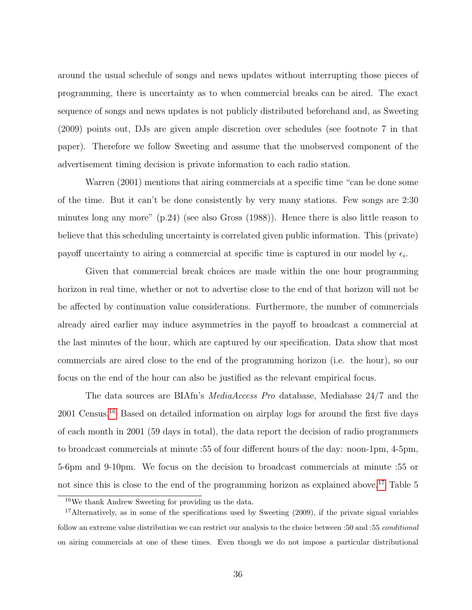around the usual schedule of songs and news updates without interrupting those pieces of programming, there is uncertainty as to when commercial breaks can be aired. The exact sequence of songs and news updates is not publicly distributed beforehand and, as Sweeting (2009) points out, DJs are given ample discretion over schedules (see footnote 7 in that paper). Therefore we follow Sweeting and assume that the unobserved component of the advertisement timing decision is private information to each radio station.

Warren (2001) mentions that airing commercials at a specific time "can be done some of the time. But it can't be done consistently by very many stations. Few songs are 2:30 minutes long any more" (p.24) (see also Gross (1988)). Hence there is also little reason to believe that this scheduling uncertainty is correlated given public information. This (private) payoff uncertainty to airing a commercial at specific time is captured in our model by  $\epsilon_i$ .

Given that commercial break choices are made within the one hour programming horizon in real time, whether or not to advertise close to the end of that horizon will not be be affected by continuation value considerations. Furthermore, the number of commercials already aired earlier may induce asymmetries in the payoff to broadcast a commercial at the last minutes of the hour, which are captured by our specification. Data show that most commercials are aired close to the end of the programming horizon (i.e. the hour), so our focus on the end of the hour can also be justified as the relevant empirical focus.

The data sources are BIAfn's MediaAccess Pro database, Mediabase 24/7 and the 2001 Census.[16](#page-36-0) Based on detailed information on airplay logs for around the first five days of each month in 2001 (59 days in total), the data report the decision of radio programmers to broadcast commercials at minute :55 of four different hours of the day: noon-1pm, 4-5pm, 5-6pm and 9-10pm. We focus on the decision to broadcast commercials at minute :55 or not since this is close to the end of the programming horizon as explained above.<sup>[17](#page-36-1)</sup> Table 5

<span id="page-36-1"></span><span id="page-36-0"></span><sup>16</sup>We thank Andrew Sweeting for providing us the data.

 $17$ Alternatively, as in some of the specifications used by Sweeting (2009), if the private signal variables follow an extreme value distribution we can restrict our analysis to the choice between :50 and :55 conditional on airing commercials at one of these times. Even though we do not impose a particular distributional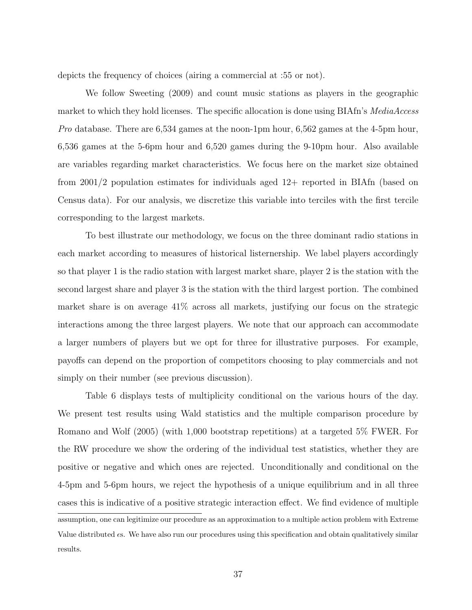depicts the frequency of choices (airing a commercial at :55 or not).

We follow Sweeting (2009) and count music stations as players in the geographic market to which they hold licenses. The specific allocation is done using BIAfn's *MediaAccess* Pro database. There are  $6,534$  games at the noon-1pm hour,  $6,562$  games at the 4-5pm hour, 6,536 games at the 5-6pm hour and 6,520 games during the 9-10pm hour. Also available are variables regarding market characteristics. We focus here on the market size obtained from 2001/2 population estimates for individuals aged 12+ reported in BIAfn (based on Census data). For our analysis, we discretize this variable into terciles with the first tercile corresponding to the largest markets.

To best illustrate our methodology, we focus on the three dominant radio stations in each market according to measures of historical listernership. We label players accordingly so that player 1 is the radio station with largest market share, player 2 is the station with the second largest share and player 3 is the station with the third largest portion. The combined market share is on average 41% across all markets, justifying our focus on the strategic interactions among the three largest players. We note that our approach can accommodate a larger numbers of players but we opt for three for illustrative purposes. For example, payoffs can depend on the proportion of competitors choosing to play commercials and not simply on their number (see previous discussion).

Table 6 displays tests of multiplicity conditional on the various hours of the day. We present test results using Wald statistics and the multiple comparison procedure by Romano and Wolf (2005) (with 1,000 bootstrap repetitions) at a targeted 5% FWER. For the RW procedure we show the ordering of the individual test statistics, whether they are positive or negative and which ones are rejected. Unconditionally and conditional on the 4-5pm and 5-6pm hours, we reject the hypothesis of a unique equilibrium and in all three cases this is indicative of a positive strategic interaction effect. We find evidence of multiple assumption, one can legitimize our procedure as an approximation to a multiple action problem with Extreme Value distributed s. We have also run our procedures using this specification and obtain qualitatively similar results.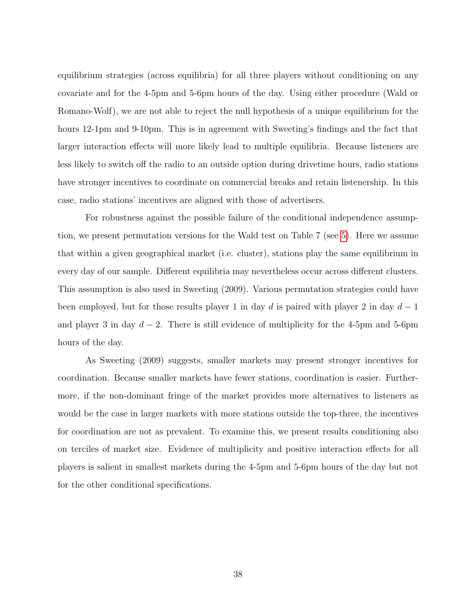equilibrium strategies (across equilibria) for all three players without conditioning on any covariate and for the 4-5pm and 5-6pm hours of the day. Using either procedure (Wald or Romano-Wolf), we are not able to reject the null hypothesis of a unique equilibrium for the hours 12-1pm and 9-10pm. This is in agreement with Sweeting's findings and the fact that larger interaction effects will more likely lead to multiple equilibria. Because listeners are less likely to switch off the radio to an outside option during drivetime hours, radio stations have stronger incentives to coordinate on commercial breaks and retain listenership. In this case, radio stations' incentives are aligned with those of advertisers.

For robustness against the possible failure of the conditional independence assumption, we present permutation versions for the Wald test on Table 7 (see [5\)](#page-29-0). Here we assume that within a given geographical market (i.e. cluster), stations play the same equilibrium in every day of our sample. Different equilibria may nevertheless occur across different clusters. This assumption is also used in Sweeting (2009). Various permutation strategies could have been employed, but for those results player 1 in day d is paired with player 2 in day  $d-1$ and player 3 in day  $d-2$ . There is still evidence of multiplicity for the 4-5pm and 5-6pm hours of the day.

As Sweeting (2009) suggests, smaller markets may present stronger incentives for coordination. Because smaller markets have fewer stations, coordination is easier. Furthermore, if the non-dominant fringe of the market provides more alternatives to listeners as would be the case in larger markets with more stations outside the top-three, the incentives for coordination are not as prevalent. To examine this, we present results conditioning also on terciles of market size. Evidence of multiplicity and positive interaction effects for all players is salient in smallest markets during the 4-5pm and 5-6pm hours of the day but not for the other conditional specifications.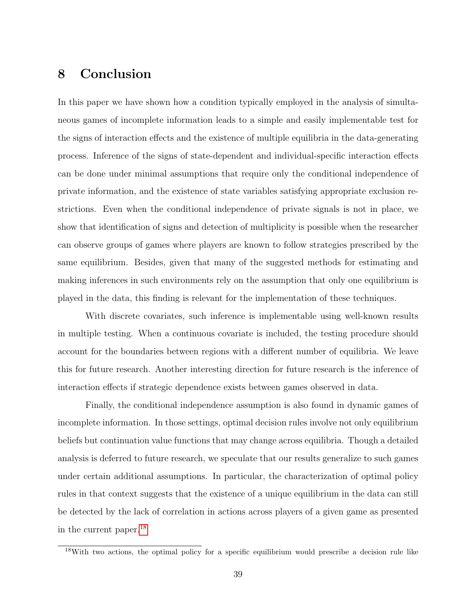## <span id="page-39-0"></span>8 Conclusion

In this paper we have shown how a condition typically employed in the analysis of simultaneous games of incomplete information leads to a simple and easily implementable test for the signs of interaction effects and the existence of multiple equilibria in the data-generating process. Inference of the signs of state-dependent and individual-specific interaction effects can be done under minimal assumptions that require only the conditional independence of private information, and the existence of state variables satisfying appropriate exclusion restrictions. Even when the conditional independence of private signals is not in place, we show that identification of signs and detection of multiplicity is possible when the researcher can observe groups of games where players are known to follow strategies prescribed by the same equilibrium. Besides, given that many of the suggested methods for estimating and making inferences in such environments rely on the assumption that only one equilibrium is played in the data, this finding is relevant for the implementation of these techniques.

With discrete covariates, such inference is implementable using well-known results in multiple testing. When a continuous covariate is included, the testing procedure should account for the boundaries between regions with a different number of equilibria. We leave this for future research. Another interesting direction for future research is the inference of interaction effects if strategic dependence exists between games observed in data.

Finally, the conditional independence assumption is also found in dynamic games of incomplete information. In those settings, optimal decision rules involve not only equilibrium beliefs but continuation value functions that may change across equilibria. Though a detailed analysis is deferred to future research, we speculate that our results generalize to such games under certain additional assumptions. In particular, the characterization of optimal policy rules in that context suggests that the existence of a unique equilibrium in the data can still be detected by the lack of correlation in actions across players of a given game as presented in the current paper.[18](#page-39-1)

<span id="page-39-1"></span><sup>18</sup>With two actions, the optimal policy for a specific equilibrium would prescribe a decision rule like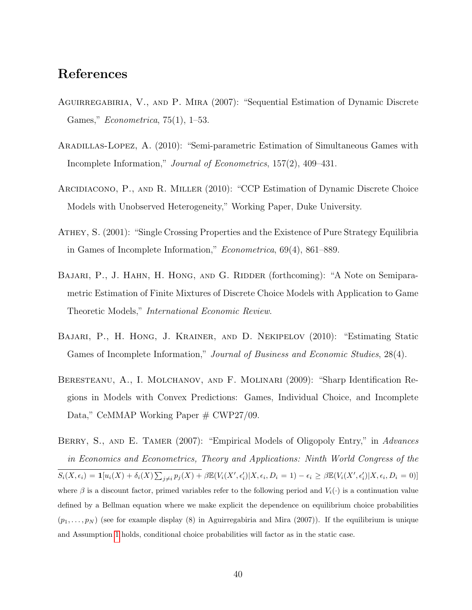## References

- AGUIRREGABIRIA, V., AND P. MIRA (2007): "Sequential Estimation of Dynamic Discrete Games," Econometrica, 75(1), 1–53.
- Aradillas-Lopez, A. (2010): "Semi-parametric Estimation of Simultaneous Games with Incomplete Information," Journal of Econometrics, 157(2), 409–431.
- Arcidiacono, P., and R. Miller (2010): "CCP Estimation of Dynamic Discrete Choice Models with Unobserved Heterogeneity," Working Paper, Duke University.
- Athey, S. (2001): "Single Crossing Properties and the Existence of Pure Strategy Equilibria in Games of Incomplete Information," Econometrica, 69(4), 861–889.
- BAJARI, P., J. HAHN, H. HONG, AND G. RIDDER (forthcoming): "A Note on Semiparametric Estimation of Finite Mixtures of Discrete Choice Models with Application to Game Theoretic Models," International Economic Review.
- Bajari, P., H. Hong, J. Krainer, and D. Nekipelov (2010): "Estimating Static Games of Incomplete Information," Journal of Business and Economic Studies, 28(4).
- Beresteanu, A., I. Molchanov, and F. Molinari (2009): "Sharp Identification Regions in Models with Convex Predictions: Games, Individual Choice, and Incomplete Data," CeMMAP Working Paper # CWP27/09.
- BERRY, S., AND E. TAMER (2007): "Empirical Models of Oligopoly Entry," in Advances in Economics and Econometrics, Theory and Applications: Ninth World Congress of the  $S_i(X, \epsilon_i) = \mathbf{1}[u_i(X) + \delta_i(X)\sum_{j\neq i}p_j(X) + \beta \mathbb{E}(V_i(X', \epsilon'_i)|X, \epsilon_i, D_i = 1) - \epsilon_i \geq \beta \mathbb{E}(V_i(X', \epsilon'_i)|X, \epsilon_i, D_i = 0)]$ where  $\beta$  is a discount factor, primed variables refer to the following period and  $V_i(\cdot)$  is a continuation value defined by a Bellman equation where we make explicit the dependence on equilibrium choice probabilities  $(p_1, \ldots, p_N)$  (see for example display (8) in Aguirregabiria and Mira (2007)). If the equilibrium is unique and Assumption [1](#page-7-0) holds, conditional choice probabilities will factor as in the static case.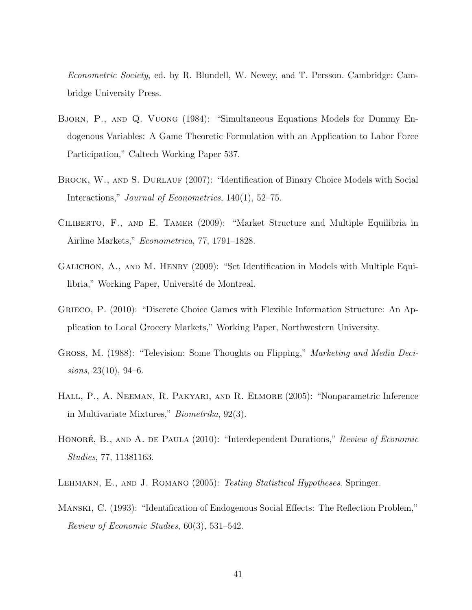Econometric Society, ed. by R. Blundell, W. Newey, and T. Persson. Cambridge: Cambridge University Press.

- Bjorn, P., and Q. Vuong (1984): "Simultaneous Equations Models for Dummy Endogenous Variables: A Game Theoretic Formulation with an Application to Labor Force Participation," Caltech Working Paper 537.
- BROCK, W., AND S. DURLAUF (2007): "Identification of Binary Choice Models with Social Interactions," *Journal of Econometrics*, 140(1), 52–75.
- Ciliberto, F., and E. Tamer (2009): "Market Structure and Multiple Equilibria in Airline Markets," Econometrica, 77, 1791–1828.
- Galichon, A., and M. Henry (2009): "Set Identification in Models with Multiple Equilibria," Working Paper, Université de Montreal.
- Grieco, P. (2010): "Discrete Choice Games with Flexible Information Structure: An Application to Local Grocery Markets," Working Paper, Northwestern University.
- Gross, M. (1988): "Television: Some Thoughts on Flipping," Marketing and Media Decisions, 23(10), 94–6.
- Hall, P., A. Neeman, R. Pakyari, and R. Elmore (2005): "Nonparametric Inference in Multivariate Mixtures," Biometrika, 92(3).
- HONORÉ, B., AND A. DE PAULA (2010): "Interdependent Durations," Review of Economic Studies, 77, 11381163.
- LEHMANN, E., AND J. ROMANO (2005): Testing Statistical Hypotheses. Springer.
- Manski, C. (1993): "Identification of Endogenous Social Effects: The Reflection Problem," Review of Economic Studies, 60(3), 531–542.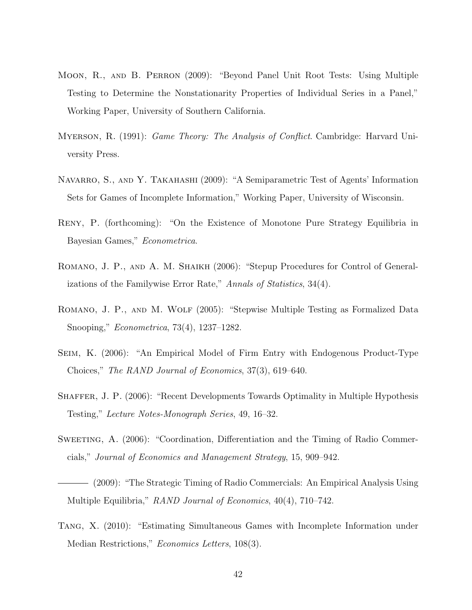- Moon, R., and B. Perron (2009): "Beyond Panel Unit Root Tests: Using Multiple Testing to Determine the Nonstationarity Properties of Individual Series in a Panel," Working Paper, University of Southern California.
- Myerson, R. (1991): Game Theory: The Analysis of Conflict. Cambridge: Harvard University Press.
- NAVARRO, S., AND Y. TAKAHASHI (2009): "A Semiparametric Test of Agents' Information Sets for Games of Incomplete Information," Working Paper, University of Wisconsin.
- Reny, P. (forthcoming): "On the Existence of Monotone Pure Strategy Equilibria in Bayesian Games," Econometrica.
- ROMANO, J. P., AND A. M. SHAIKH (2006): "Stepup Procedures for Control of Generalizations of the Familywise Error Rate," Annals of Statistics, 34(4).
- Romano, J. P., and M. Wolf (2005): "Stepwise Multiple Testing as Formalized Data Snooping," Econometrica, 73(4), 1237–1282.
- Seim, K. (2006): "An Empirical Model of Firm Entry with Endogenous Product-Type Choices," The RAND Journal of Economics, 37(3), 619–640.
- Shaffer, J. P. (2006): "Recent Developments Towards Optimality in Multiple Hypothesis Testing," Lecture Notes-Monograph Series, 49, 16–32.
- SWEETING, A. (2006): "Coordination, Differentiation and the Timing of Radio Commercials," Journal of Economics and Management Strategy, 15, 909–942.
- (2009): "The Strategic Timing of Radio Commercials: An Empirical Analysis Using Multiple Equilibria," *RAND Journal of Economics*, 40(4), 710–742.
- Tang, X. (2010): "Estimating Simultaneous Games with Incomplete Information under Median Restrictions," Economics Letters, 108(3).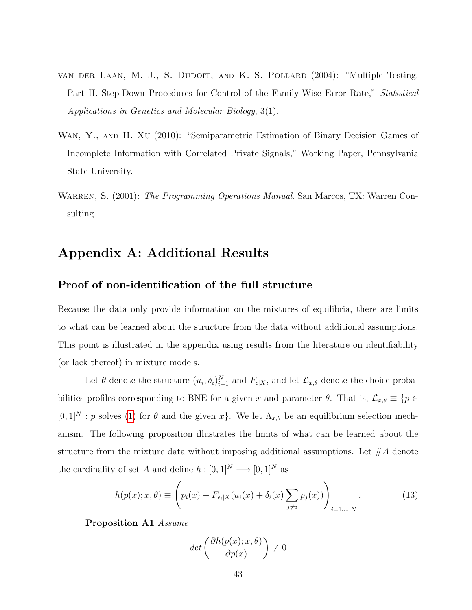- van der Laan, M. J., S. Dudoit, and K. S. Pollard (2004): "Multiple Testing. Part II. Step-Down Procedures for Control of the Family-Wise Error Rate," Statistical Applications in Genetics and Molecular Biology, 3(1).
- WAN, Y., AND H. XU (2010): "Semiparametric Estimation of Binary Decision Games of Incomplete Information with Correlated Private Signals," Working Paper, Pennsylvania State University.
- WARREN, S. (2001): The Programming Operations Manual. San Marcos, TX: Warren Consulting.

## Appendix A: Additional Results

#### Proof of non-identification of the full structure

Because the data only provide information on the mixtures of equilibria, there are limits to what can be learned about the structure from the data without additional assumptions. This point is illustrated in the appendix using results from the literature on identifiability (or lack thereof) in mixture models.

Let  $\theta$  denote the structure  $(u_i, \delta_i)_{i=1}^N$  and  $F_{\epsilon|X}$ , and let  $\mathcal{L}_{x,\theta}$  denote the choice probabilities profiles corresponding to BNE for a given x and parameter  $\theta$ . That is,  $\mathcal{L}_{x,\theta} \equiv \{p \in$  $[0,1]^N$ : p solves [\(1\)](#page-8-0) for  $\theta$  and the given x. We let  $\Lambda_{x,\theta}$  be an equilibrium selection mechanism. The following proposition illustrates the limits of what can be learned about the structure from the mixture data without imposing additional assumptions. Let  $#A$  denote the cardinality of set  $A$  and define  $h:[0,1]^N\longrightarrow [0,1]^N$  as

<span id="page-43-0"></span>
$$
h(p(x);x,\theta) \equiv \left(p_i(x) - F_{\epsilon_i|X}(u_i(x) + \delta_i(x)\sum_{j\neq i} p_j(x))\right)_{i=1,\dots,N}.
$$
 (13)

Proposition A1 Assume

$$
det\left(\frac{\partial h(p(x); x, \theta)}{\partial p(x)}\right) \neq 0
$$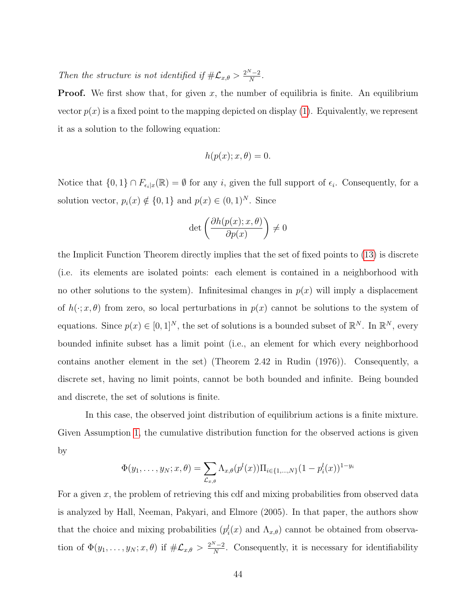Then the structure is not identified if  $\#\mathcal{L}_{x,\theta} > \frac{2^N-2}{N}$  $\frac{N-2}{N}$ .

**Proof.** We first show that, for given x, the number of equilibria is finite. An equilibrium vector  $p(x)$  is a fixed point to the mapping depicted on display [\(1\)](#page-8-0). Equivalently, we represent it as a solution to the following equation:

$$
h(p(x);x,\theta) = 0.
$$

Notice that  $\{0,1\} \cap F_{\epsilon_i|x}(\mathbb{R}) = \emptyset$  for any i, given the full support of  $\epsilon_i$ . Consequently, for a solution vector,  $p_i(x) \notin \{0, 1\}$  and  $p(x) \in (0, 1)^N$ . Since

$$
\det\left(\frac{\partial h(p(x);x,\theta)}{\partial p(x)}\right) \neq 0
$$

the Implicit Function Theorem directly implies that the set of fixed points to [\(13\)](#page-43-0) is discrete (i.e. its elements are isolated points: each element is contained in a neighborhood with no other solutions to the system). Infinitesimal changes in  $p(x)$  will imply a displacement of  $h(\cdot; x, \theta)$  from zero, so local perturbations in  $p(x)$  cannot be solutions to the system of equations. Since  $p(x) \in [0,1]^N$ , the set of solutions is a bounded subset of  $\mathbb{R}^N$ . In  $\mathbb{R}^N$ , every bounded infinite subset has a limit point (i.e., an element for which every neighborhood contains another element in the set) (Theorem 2.42 in Rudin (1976)). Consequently, a discrete set, having no limit points, cannot be both bounded and infinite. Being bounded and discrete, the set of solutions is finite.

In this case, the observed joint distribution of equilibrium actions is a finite mixture. Given Assumption [1,](#page-7-0) the cumulative distribution function for the observed actions is given by

$$
\Phi(y_1,\ldots,y_N;x,\theta) = \sum_{\mathcal{L}_{x,\theta}} \Lambda_{x,\theta}(p^l(x)) \Pi_{i \in \{1,\ldots,N\}} (1-p^l_i(x))^{1-y_i}
$$

For a given  $x$ , the problem of retrieving this cdf and mixing probabilities from observed data is analyzed by Hall, Neeman, Pakyari, and Elmore (2005). In that paper, the authors show that the choice and mixing probabilities  $(p_i^l(x)$  and  $\Lambda_{x,\theta})$  cannot be obtained from observation of  $\Phi(y_1,\ldots,y_N;x,\theta)$  if  $\#\mathcal{L}_{x,\theta} > \frac{2^N-2}{N}$  $\frac{N-2}{N}$ . Consequently, it is necessary for identifiability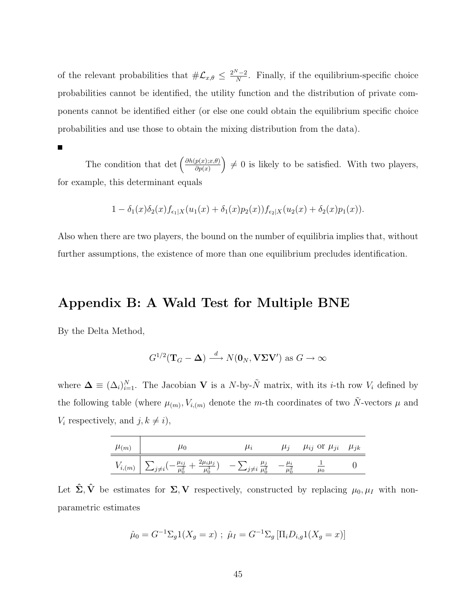of the relevant probabilities that  $\#\mathcal{L}_{x,\theta} \leq \frac{2^N-2}{N}$  $\frac{N-2}{N}$ . Finally, if the equilibrium-specific choice probabilities cannot be identified, the utility function and the distribution of private components cannot be identified either (or else one could obtain the equilibrium specific choice probabilities and use those to obtain the mixing distribution from the data).

 $\blacksquare$ 

The condition that det  $\left(\frac{\partial h(p(x);x,\theta)}{\partial p(x)}\right)$  $\left(\frac{p(x);x,\theta)}{\partial p(x)}\right) \neq 0$  is likely to be satisfied. With two players, for example, this determinant equals

$$
1 - \delta_1(x)\delta_2(x)f_{\epsilon_1|X}(u_1(x) + \delta_1(x)p_2(x))f_{\epsilon_2|X}(u_2(x) + \delta_2(x)p_1(x)).
$$

Also when there are two players, the bound on the number of equilibria implies that, without further assumptions, the existence of more than one equilibrium precludes identification.

## Appendix B: A Wald Test for Multiple BNE

By the Delta Method,

$$
G^{1/2}(\mathbf{T}_G - \mathbf{\Delta}) \xrightarrow{d} N(\mathbf{0}_N, \mathbf{V}\mathbf{\Sigma}\mathbf{V}')
$$
 as  $G \to \infty$ 

where  $\mathbf{\Delta} \equiv (\Delta_i)_{i=1}^N$ . The Jacobian **V** is a N-by- $\tilde{N}$  matrix, with its *i*-th row  $V_i$  defined by the following table (where  $\mu_{(m)}, V_{i,(m)}$  denote the m-th coordinates of two  $\tilde{N}$ -vectors  $\mu$  and  $V_i$  respectively, and  $j, k \neq i$ ,

| $\mu(m)$ |                                                                                                                                                                    | $\mu_i$ | $\mu_i$ | $\mu_{ij}$ or $\mu_{ji}$ $\mu_{jk}$ |  |
|----------|--------------------------------------------------------------------------------------------------------------------------------------------------------------------|---------|---------|-------------------------------------|--|
|          | $V_{i,(m)}\left[\sum_{j\neq i}(-\frac{\mu_{ij}}{a_{\alpha}^2}+\frac{2\mu_{i}\mu_{j}}{a_{\alpha}^2})\right]\left[\sum_{j\neq i}\frac{\mu_{j}}{a_{\alpha}^2}\right]$ |         |         | $\mu_0$                             |  |

Let  $\hat{\Sigma}, \hat{V}$  be estimates for  $\Sigma, V$  respectively, constructed by replacing  $\mu_0, \mu_I$  with nonparametric estimates

$$
\hat{\mu}_0 = G^{-1} \Sigma_g 1(X_g = x) ; \ \hat{\mu}_I = G^{-1} \Sigma_g [\Pi_i D_{i,g} 1(X_g = x)]
$$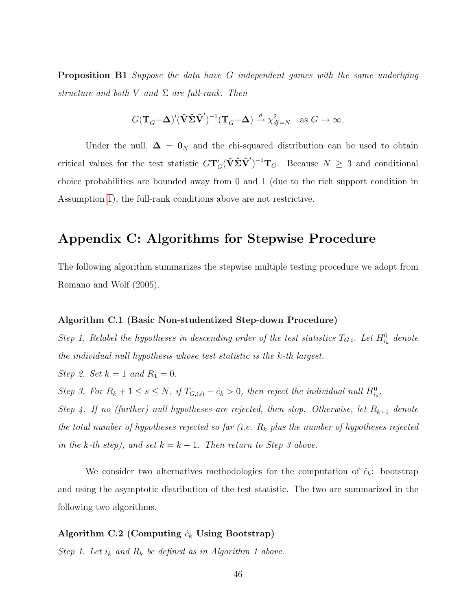Proposition B1 Suppose the data have G independent games with the same underlying structure and both V and  $\Sigma$  are full-rank. Then

$$
G(\mathbf{T}_G-\boldsymbol{\Delta})'(\hat{\mathbf{V}}\hat{\boldsymbol{\Sigma}}\hat{\mathbf{V}}')^{-1}(\mathbf{T}_G-\boldsymbol{\Delta}) \xrightarrow{d} \chi^2_{df=N}
$$
 as  $G \to \infty$ .

Under the null,  $\Delta = 0_N$  and the chi-squared distribution can be used to obtain critical values for the test statistic  $G\mathbf{T}'_G(\hat{\mathbf{V}}\hat{\boldsymbol{\Sigma}}\hat{\mathbf{V}}')^{-1}\mathbf{T}_G$ . Because  $N \geq 3$  and conditional choice probabilities are bounded away from 0 and 1 (due to the rich support condition in Assumption [1\)](#page-7-0), the full-rank conditions above are not restrictive.

## Appendix C: Algorithms for Stepwise Procedure

The following algorithm summarizes the stepwise multiple testing procedure we adopt from Romano and Wolf (2005).

#### Algorithm C.1 (Basic Non-studentized Step-down Procedure)

Step 1. Relabel the hypotheses in descending order of the test statistics  $T_{G,i}$ . Let  $H_{i_k}^0$  denote the individual null hypothesis whose test statistic is the k-th largest.

Step 2. Set  $k = 1$  and  $R_1 = 0$ .

Step 3. For  $R_k + 1 \leq s \leq N$ , if  $T_{G,(s)} - \hat{c}_k > 0$ , then reject the individual null  $H^0_{i_s}$ .

Step 4. If no (further) null hypotheses are rejected, then stop. Otherwise, let  $R_{k+1}$  denote the total number of hypotheses rejected so far (i.e.  $R_k$  plus the number of hypotheses rejected in the k-th step), and set  $k = k + 1$ . Then return to Step 3 above.

We consider two alternatives methodologies for the computation of  $\hat{c}_k$ : bootstrap and using the asymptotic distribution of the test statistic. The two are summarized in the following two algorithms.

#### Algorithm C.2 (Computing  $\hat{c}_k$  Using Bootstrap)

Step 1. Let  $i_k$  and  $R_k$  be defined as in Algorithm 1 above.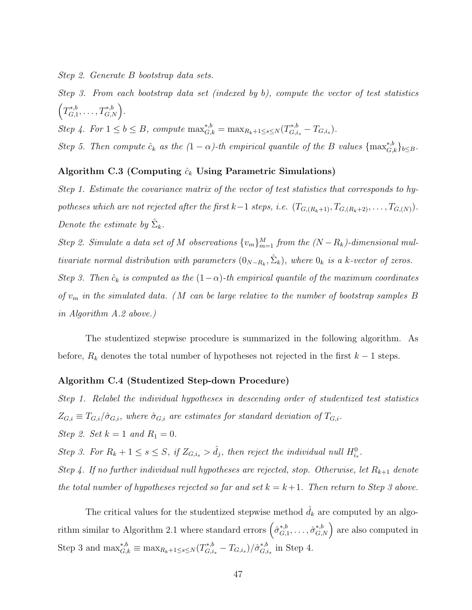Step 2. Generate B bootstrap data sets.

Step 3. From each bootstrap data set (indexed by b), compute the vector of test statistics  $\left(T_{G,1}^{*,b}\right)$  $T^{*,b}_{G,1},\ldots,T^{*,b}_{G,N}\Big).$ 

Step 4. For  $1 \le b \le B$ , compute  $\max_{G,k}^{*,b} = \max_{R_k+1 \le s \le N} (T_{G,i_s}^{*,b} - T_{G,i_s}).$ 

Step 5. Then compute  $\hat{c}_k$  as the  $(1 - \alpha)$ -th empirical quantile of the B values  $\{\max_{G,k}^{*,b}\}_{b \leq B}$ .

#### Algorithm C.3 (Computing  $\hat{c}_k$  Using Parametric Simulations)

Step 1. Estimate the covariance matrix of the vector of test statistics that corresponds to hypotheses which are not rejected after the first k−1 steps, i.e.  $(T_{G,(R_k+1)}, T_{G,(R_k+2)}, \ldots, T_{G,(N)})$ . Denote the estimate by  $\hat{\Sigma}_k$ .

Step 2. Simulate a data set of M observations  $\{v_m\}_{m=1}^M$  from the  $(N-R_k)$ -dimensional multivariate normal distribution with parameters  $(0_{N-R_k}, \hat{\Sigma}_k)$ , where  $0_k$  is a k-vector of zeros. Step 3. Then  $\hat{c}_k$  is computed as the  $(1-\alpha)$ -th empirical quantile of the maximum coordinates of  $v_m$  in the simulated data. (M can be large relative to the number of bootstrap samples B in Algorithm A.2 above.)

The studentized stepwise procedure is summarized in the following algorithm. As before,  $R_k$  denotes the total number of hypotheses not rejected in the first  $k-1$  steps.

#### Algorithm C.4 (Studentized Step-down Procedure)

Step 1. Relabel the individual hypotheses in descending order of studentized test statistics  $Z_{G,i} \equiv T_{G,i}/\hat{\sigma}_{G,i}$ , where  $\hat{\sigma}_{G,i}$  are estimates for standard deviation of  $T_{G,i}$ . Step 2. Set  $k = 1$  and  $R_1 = 0$ .

Step 3. For  $R_k + 1 \leq s \leq S$ , if  $Z_{G,i_s} > \hat{d}_j$ , then reject the individual null  $H_{i_s}^0$ .

Step 4. If no further individual null hypotheses are rejected, stop. Otherwise, let  $R_{k+1}$  denote the total number of hypotheses rejected so far and set  $k = k+1$ . Then return to Step 3 above.

The critical values for the studentized stepwise method  $\hat{d}_k$  are computed by an algorithm similar to Algorithm 2.1 where standard errors  $(\hat{\sigma}_{G}^{*,b})$  $\left( \begin{smallmatrix} * & b \\ G,1 \end{smallmatrix} \right)$ ,  $\ldots$ ,  $\hat{\sigma}_{G,N}^{*,b}$  are also computed in Step 3 and  $\max_{G,k}^{*,b} \equiv \max_{R_k+1 \leq s \leq N} (T_{G,i_s}^{*,b} - T_{G,i_s})/\hat{\sigma}_{G,i_s}^{*,b}$  $_{G,i_s}^{*,b}$  in Step 4.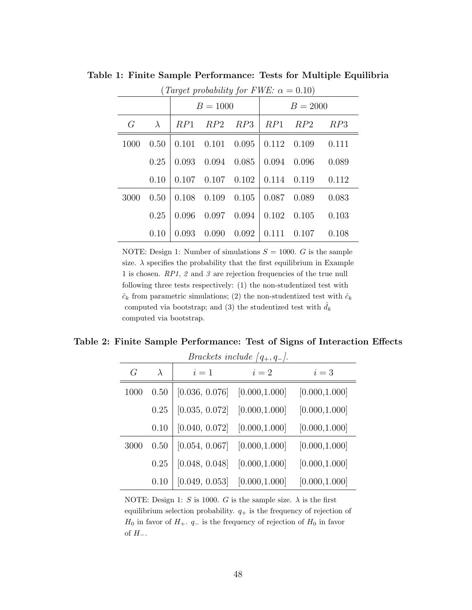| (Target probability for FWE: $\alpha = 0.10$ ) |            |       |       |       |       |            |       |
|------------------------------------------------|------------|-------|-------|-------|-------|------------|-------|
|                                                | $B = 1000$ |       |       |       |       | $B = 2000$ |       |
| G                                              | $\lambda$  | RP1   | RP2   | RP3   | RP1   | RP2        | RP3   |
| 1000                                           | 0.50       | 0.101 | 0.101 | 0.095 | 0.112 | 0.109      | 0.111 |
|                                                | 0.25       | 0.093 | 0.094 | 0.085 | 0.094 | 0.096      | 0.089 |
|                                                | 0.10       | 0.107 | 0.107 | 0.102 | 0.114 | 0.119      | 0.112 |
| 3000                                           | 0.50       | 0.108 | 0.109 | 0.105 | 0.087 | 0.089      | 0.083 |
|                                                | 0.25       | 0.096 | 0.097 | 0.094 | 0.102 | 0.105      | 0.103 |
|                                                | 0.10       | 0.093 | 0.090 | 0.092 | 0.111 | 0.107      | 0.108 |

Table 1: Finite Sample Performance: Tests for Multiple Equilibria

NOTE: Design 1: Number of simulations  $S = 1000$ . G is the sample size.  $\lambda$  specifies the probability that the first equilibrium in Example 1 is chosen. RP1, 2 and 3 are rejection frequencies of the true null following three tests respectively: (1) the non-studentized test with  $\hat{c}_k$  from parametric simulations; (2) the non-studentized test with  $\hat{c}_k$ computed via bootstrap; and (3) the studentized test with  $d_k$ computed via bootstrap.

| Table 2: Finite Sample Performance: Test of Signs of Interaction Effects |  |  |
|--------------------------------------------------------------------------|--|--|
|--------------------------------------------------------------------------|--|--|

| <i>Brackets include</i> $ q_+, q_- $ . |           |                |                |                |  |  |
|----------------------------------------|-----------|----------------|----------------|----------------|--|--|
| G                                      | $\lambda$ | $i=1$          | $i=2$          | $i=3$          |  |  |
| 1000                                   | 0.50      | [0.036, 0.076] | [0.000, 1.000] | [0.000, 1.000] |  |  |
|                                        | 0.25      | [0.035, 0.072] | [0.000, 1.000] | [0.000, 1.000] |  |  |
|                                        | 0.10      | [0.040, 0.072] | [0.000, 1.000] | [0.000, 1.000] |  |  |
| 3000                                   | 0.50      | [0.054, 0.067] | [0.000, 1.000] | [0.000, 1.000] |  |  |
|                                        | 0.25      | [0.048, 0.048] | [0.000, 1.000] | [0.000, 1.000] |  |  |
|                                        | 0.10      | [0.049, 0.053] | [0.000, 1.000] | [0.000, 1.000] |  |  |

NOTE: Design 1: S is 1000. G is the sample size.  $\lambda$  is the first equilibrium selection probability.  $q_+$  is the frequency of rejection of  $H_0$  in favor of  $H_+$ .  $q_-$  is the frequency of rejection of  $H_0$  in favor of  $H_-.$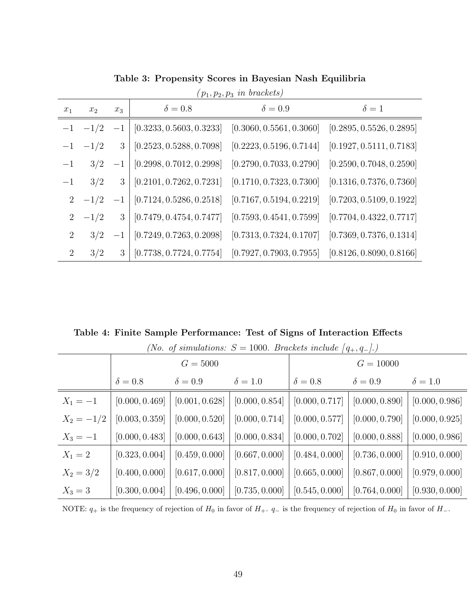|                | $(p_1, p_2, p_3 \text{ in brackets})$ |       |                          |                          |                          |  |  |
|----------------|---------------------------------------|-------|--------------------------|--------------------------|--------------------------|--|--|
| $x_1$          | $x_2$                                 | $x_3$ | $\delta = 0.8$           | $\delta = 0.9$           | $\delta=1$               |  |  |
| $-1$           | $-1/2$                                | $-1$  | [0.3233, 0.5603, 0.3233] | [0.3060, 0.5561, 0.3060] | [0.2895, 0.5526, 0.2895] |  |  |
| $-1$           | $-1/2$                                | 3     | [0.2523, 0.5288, 0.7098] | [0.2223, 0.5196, 0.7144] | [0.1927, 0.5111, 0.7183] |  |  |
| $-1$           | 3/2                                   | $-1$  | [0.2998, 0.7012, 0.2998] | [0.2790, 0.7033, 0.2790] | [0.2590, 0.7048, 0.2590] |  |  |
| $-1$           | 3/2                                   | 3     | [0.2101, 0.7262, 0.7231] | [0.1710, 0.7323, 0.7300] | [0.1316, 0.7376, 0.7360] |  |  |
| $2^{-}$        | $-1/2$                                | $-1$  | [0.7124, 0.5286, 0.2518] | [0.7167, 0.5194, 0.2219] | [0.7203, 0.5109, 0.1922] |  |  |
| $\overline{2}$ | $-1/2$                                | 3     | [0.7479, 0.4754, 0.7477] | [0.7593, 0.4541, 0.7599] | [0.7704, 0.4322, 0.7717] |  |  |
| $2^{\circ}$    | 3/2                                   | $-1$  | [0.7249, 0.7263, 0.2098] | [0.7313, 0.7324, 0.1707] | [0.7369, 0.7376, 0.1314] |  |  |
| $\overline{2}$ | 3/2                                   | 3     | [0.7738, 0.7724, 0.7754] | [0.7927, 0.7903, 0.7955] | [0.8126, 0.8090, 0.8166] |  |  |

Table 3: Propensity Scores in Bayesian Nash Equilibria

Table 4: Finite Sample Performance: Test of Signs of Interaction Effects

|              |                | <i>No.</i> of simulations: $S = 1000$ . Brackets include $(q_+, q_-)$ . |                |                |                                              |                |
|--------------|----------------|-------------------------------------------------------------------------|----------------|----------------|----------------------------------------------|----------------|
|              | $G = 5000$     |                                                                         |                | $G = 10000$    |                                              |                |
|              | $\delta = 0.8$ | $\delta = 0.9$                                                          | $\delta = 1.0$ | $\delta = 0.8$ | $\delta = 0.9$                               | $\delta = 1.0$ |
| $X_1 = -1$   | [0.000, 0.469] | [0.001, 0.628]                                                          | [0.000, 0.854] | [0.000, 0.717] | $\vert$ [0.000, 0.890]                       | [0.000, 0.986] |
| $X_2 = -1/2$ | [0.003, 0.359] | [0.000, 0.520]                                                          | [0.000, 0.714] | [0.000, 0.577] | [0.000, 0.790]                               | [0.000, 0.925] |
| $X_3 = -1$   | [0.000, 0.483] | [0.000, 0.643]                                                          | [0.000, 0.834] | [0.000, 0.702] | [0.000, 0.888]                               | [0.000, 0.986] |
| $X_1 = 2$    | [0.323, 0.004] | [0.459, 0.000]                                                          | [0.667, 0.000] | [0.484, 0.000] | [0.736, 0.000]                               | [0.910, 0.000] |
| $X_2 = 3/2$  | [0.400, 0.000] | [0.617, 0.000]                                                          | [0.817, 0.000] | [0.665, 0.000] | [0.867, 0.000]                               | [0.979, 0.000] |
| $X_3 = 3$    | [0.300, 0.004] | [0.496, 0.000]                                                          | [0.735, 0.000] | [0.545, 0.000] | $\begin{bmatrix} 0.764, 0.000 \end{bmatrix}$ | [0.930, 0.000] |

(No. of eimulations:  $S = 1000$ . Brackets include  $[a, a, d]$ )

NOTE:  $q_+$  is the frequency of rejection of  $H_0$  in favor of  $H_+$ .  $q_-$  is the frequency of rejection of  $H_0$  in favor of  $H_-$ .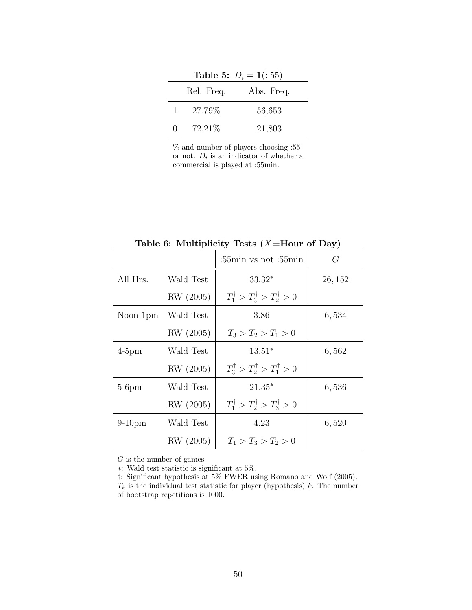|                  | Table 5: $D_i = 1(:55)$ |            |  |  |  |  |  |  |
|------------------|-------------------------|------------|--|--|--|--|--|--|
|                  | Rel. Freq.              | Abs. Freq. |  |  |  |  |  |  |
| 1                | 27.79%                  | 56,653     |  |  |  |  |  |  |
| $\left( \right)$ | 72.21\%                 | 21,803     |  |  |  |  |  |  |

% and number of players choosing :55 or not.  $D_i$  is an indicator of whether a commercial is played at :55min.

|           |           | : $55\text{min}$ vs not : $55\text{min}$            | $\sim$<br>G |
|-----------|-----------|-----------------------------------------------------|-------------|
| All Hrs.  | Wald Test | $33.32*$                                            | 26, 152     |
|           | RW (2005) | $T_1^{\dagger} > T_3^{\dagger} > T_2^{\dagger} > 0$ |             |
| Noon-1pm  | Wald Test | 3.86                                                | 6,534       |
|           | RW (2005) | $T_3 > T_2 > T_1 > 0$                               |             |
| $4-5$ pm  | Wald Test | $13.51*$                                            | 6,562       |
|           | RW (2005) | $T_3^{\dagger} > T_2^{\dagger} > T_1^{\dagger} > 0$ |             |
| $5-6$ pm  | Wald Test | $21.35*$                                            | 6,536       |
|           | RW (2005) | $T_1^{\dagger} > T_2^{\dagger} > T_3^{\dagger} > 0$ |             |
| $9-10$ pm | Wald Test | 4.23                                                | 6,520       |
|           | RW (2005) | $T_1 > T_3 > T_2 > 0$                               |             |

Table 6: Multiplicity Tests  $(X=$  Hour of Day)

 ${\cal G}$  is the number of games.

∗: Wald test statistic is significant at 5%.

†: Significant hypothesis at 5% FWER using Romano and Wolf (2005).

 $T_k$  is the individual test statistic for player (hypothesis) k. The number of bootstrap repetitions is 1000.